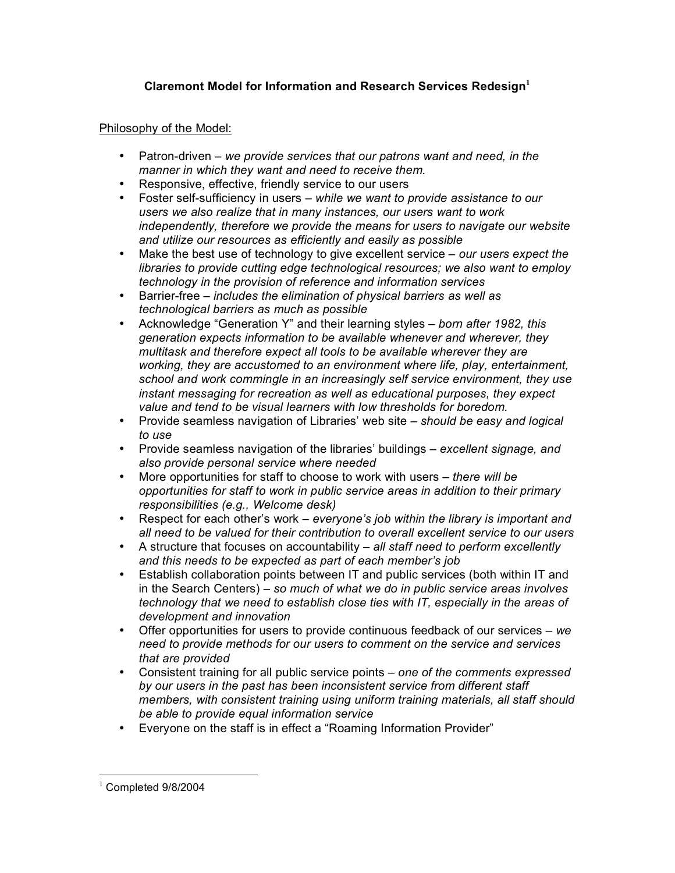## **Claremont Model for Information and Research Services Redesign<sup>1</sup>**

## Philosophy of the Model:

- Patron-driven *we provide services that our patrons want and need, in the manner in which they want and need to receive them.*
- Responsive, effective, friendly service to our users
- Foster self-sufficiency in users *– while we want to provide assistance to our users we also realize that in many instances, our users want to work independently, therefore we provide the means for users to navigate our website and utilize our resources as efficiently and easily as possible*
- Make the best use of technology to give excellent service *our users expect the libraries to provide cutting edge technological resources; we also want to employ technology in the provision of reference and information services*
- Barrier-free *– includes the elimination of physical barriers as well as technological barriers as much as possible*
- Acknowledge "Generation Y" and their learning styles *born after 1982, this generation expects information to be available whenever and wherever, they multitask and therefore expect all tools to be available wherever they are working, they are accustomed to an environment where life, play, entertainment, school and work commingle in an increasingly self service environment, they use instant messaging for recreation as well as educational purposes, they expect value and tend to be visual learners with low thresholds for boredom.*
- Provide seamless navigation of Libraries' web site *should be easy and logical to use*
- Provide seamless navigation of the libraries' buildings *excellent signage, and also provide personal service where needed*
- More opportunities for staff to choose to work with users *there will be opportunities for staff to work in public service areas in addition to their primary responsibilities (e.g., Welcome desk)*
- Respect for each other's work *everyone's job within the library is important and all need to be valued for their contribution to overall excellent service to our users*
- A structure that focuses on accountability *all staff need to perform excellently and this needs to be expected as part of each member's job*
- Establish collaboration points between IT and public services (both within IT and in the Search Centers) – *so much of what we do in public service areas involves technology that we need to establish close ties with IT, especially in the areas of development and innovation*
- Offer opportunities for users to provide continuous feedback of our services *we need to provide methods for our users to comment on the service and services that are provided*
- Consistent training for all public service points *one of the comments expressed by our users in the past has been inconsistent service from different staff members, with consistent training using uniform training materials, all staff should be able to provide equal information service*
- Everyone on the staff is in effect a "Roaming Information Provider"

 $1$  Completed 9/8/2004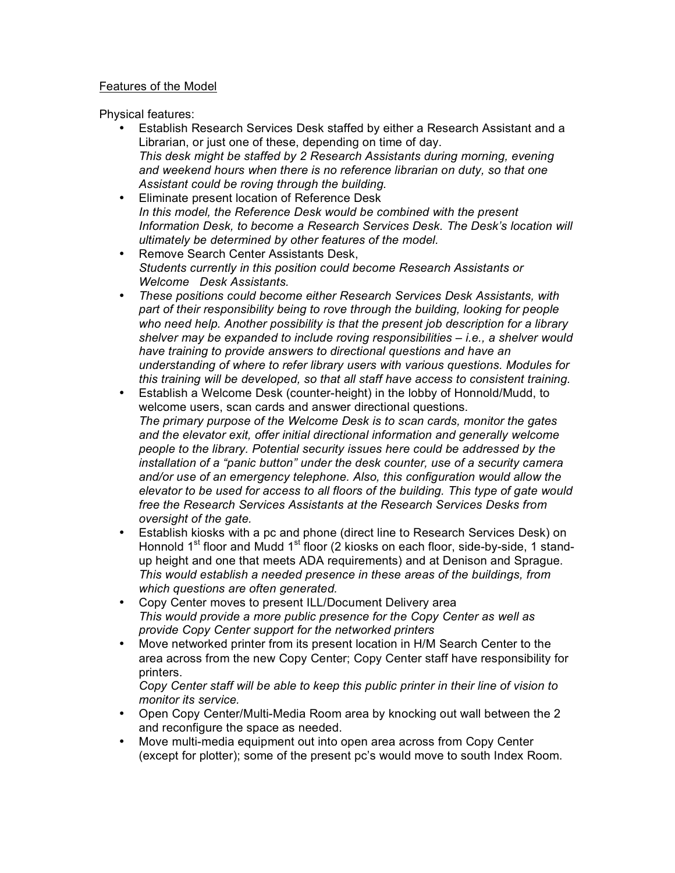## Features of the Model

Physical features:

- Establish Research Services Desk staffed by either a Research Assistant and a Librarian, or just one of these, depending on time of day. *This desk might be staffed by 2 Research Assistants during morning, evening and weekend hours when there is no reference librarian on duty, so that one Assistant could be roving through the building.*
- Eliminate present location of Reference Desk *In this model, the Reference Desk would be combined with the present Information Desk, to become a Research Services Desk. The Desk's location will ultimately be determined by other features of the model.*
- Remove Search Center Assistants Desk, *Students currently in this position could become Research Assistants or Welcome Desk Assistants.*
- *These positions could become either Research Services Desk Assistants, with part of their responsibility being to rove through the building, looking for people who need help. Another possibility is that the present job description for a library shelver may be expanded to include roving responsibilities – i.e., a shelver would have training to provide answers to directional questions and have an understanding of where to refer library users with various questions. Modules for this training will be developed, so that all staff have access to consistent training.*
- Establish a Welcome Desk (counter-height) in the lobby of Honnold/Mudd, to welcome users, scan cards and answer directional questions. *The primary purpose of the Welcome Desk is to scan cards, monitor the gates and the elevator exit, offer initial directional information and generally welcome people to the library. Potential security issues here could be addressed by the installation of a "panic button" under the desk counter, use of a security camera and/or use of an emergency telephone. Also, this configuration would allow the elevator to be used for access to all floors of the building. This type of gate would free the Research Services Assistants at the Research Services Desks from oversight of the gate.*
- Establish kiosks with a pc and phone (direct line to Research Services Desk) on Honnold  $1<sup>st</sup>$  floor and Mudd  $1<sup>st</sup>$  floor (2 kiosks on each floor, side-by-side, 1 standup height and one that meets ADA requirements) and at Denison and Sprague. *This would establish a needed presence in these areas of the buildings, from which questions are often generated.*
- Copy Center moves to present ILL/Document Delivery area *This would provide a more public presence for the Copy Center as well as provide Copy Center support for the networked printers*
- Move networked printer from its present location in H/M Search Center to the area across from the new Copy Center; Copy Center staff have responsibility for printers.

*Copy Center staff will be able to keep this public printer in their line of vision to monitor its service.*

- Open Copy Center/Multi-Media Room area by knocking out wall between the 2 and reconfigure the space as needed.
- Move multi-media equipment out into open area across from Copy Center (except for plotter); some of the present pc's would move to south Index Room.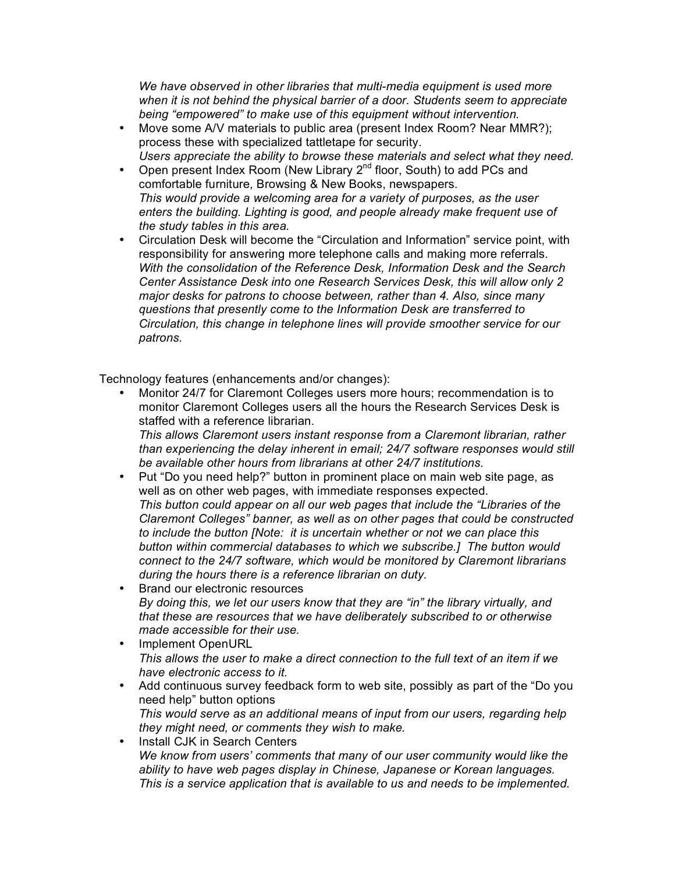*We have observed in other libraries that multi-media equipment is used more when it is not behind the physical barrier of a door. Students seem to appreciate being "empowered" to make use of this equipment without intervention.*

- Move some A/V materials to public area (present Index Room? Near MMR?); process these with specialized tattletape for security. *Users appreciate the ability to browse these materials and select what they need.*
- Open present Index Room (New Library  $2^{nd}$  floor, South) to add PCs and comfortable furniture, Browsing & New Books, newspapers. *This would provide a welcoming area for a variety of purposes, as the user enters the building. Lighting is good, and people already make frequent use of the study tables in this area.*
- Circulation Desk will become the "Circulation and Information" service point, with responsibility for answering more telephone calls and making more referrals. *With the consolidation of the Reference Desk, Information Desk and the Search Center Assistance Desk into one Research Services Desk, this will allow only 2 major desks for patrons to choose between, rather than 4. Also, since many questions that presently come to the Information Desk are transferred to Circulation, this change in telephone lines will provide smoother service for our patrons.*

Technology features (enhancements and/or changes):

• Monitor 24/7 for Claremont Colleges users more hours; recommendation is to monitor Claremont Colleges users all the hours the Research Services Desk is staffed with a reference librarian.

*This allows Claremont users instant response from a Claremont librarian, rather than experiencing the delay inherent in email; 24/7 software responses would still be available other hours from librarians at other 24/7 institutions.*

- Put "Do you need help?" button in prominent place on main web site page, as well as on other web pages, with immediate responses expected. *This button could appear on all our web pages that include the "Libraries of the Claremont Colleges" banner, as well as on other pages that could be constructed to include the button [Note: it is uncertain whether or not we can place this button within commercial databases to which we subscribe.] The button would connect to the 24/7 software, which would be monitored by Claremont librarians during the hours there is a reference librarian on duty.*
- Brand our electronic resources *By doing this, we let our users know that they are "in" the library virtually, and that these are resources that we have deliberately subscribed to or otherwise made accessible for their use.*
- Implement OpenURL *This allows the user to make a direct connection to the full text of an item if we have electronic access to it.*
- Add continuous survey feedback form to web site, possibly as part of the "Do you need help" button options *This would serve as an additional means of input from our users, regarding help they might need, or comments they wish to make.*
- Install CJK in Search Centers *We know from users' comments that many of our user community would like the ability to have web pages display in Chinese, Japanese or Korean languages. This is a service application that is available to us and needs to be implemented.*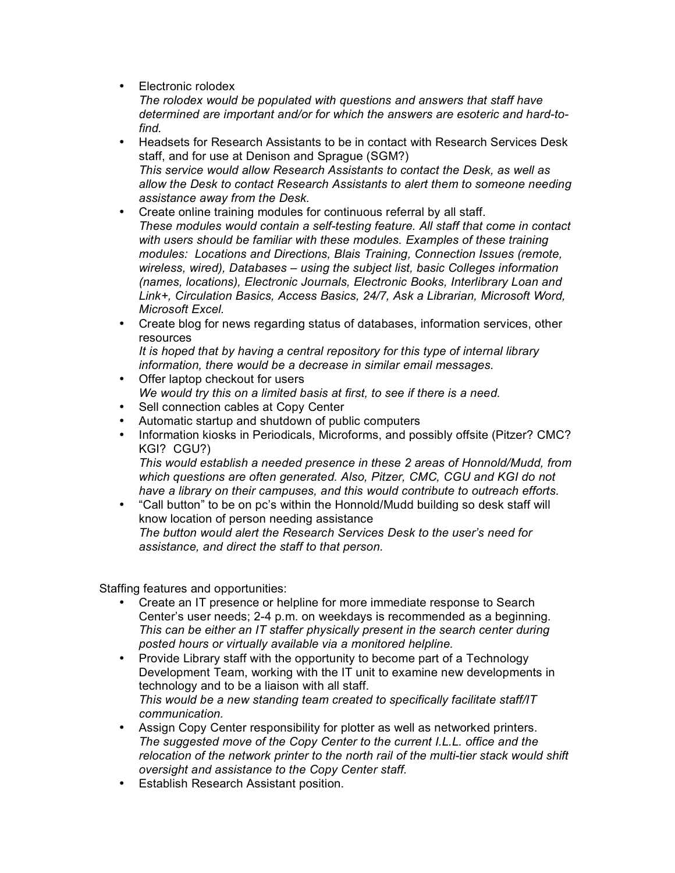• Electronic rolodex

*The rolodex would be populated with questions and answers that staff have determined are important and/or for which the answers are esoteric and hard-tofind.*

- Headsets for Research Assistants to be in contact with Research Services Desk staff, and for use at Denison and Sprague (SGM?) *This service would allow Research Assistants to contact the Desk, as well as allow the Desk to contact Research Assistants to alert them to someone needing assistance away from the Desk.*
- Create online training modules for continuous referral by all staff. *These modules would contain a self-testing feature. All staff that come in contact with users should be familiar with these modules. Examples of these training modules: Locations and Directions, Blais Training, Connection Issues (remote, wireless, wired), Databases – using the subject list, basic Colleges information (names, locations), Electronic Journals, Electronic Books, Interlibrary Loan and Link+, Circulation Basics, Access Basics, 24/7, Ask a Librarian, Microsoft Word, Microsoft Excel.*
- Create blog for news regarding status of databases, information services, other resources

*It is hoped that by having a central repository for this type of internal library information, there would be a decrease in similar email messages.*

- Offer laptop checkout for users *We would try this on a limited basis at first, to see if there is a need.*
- Sell connection cables at Copy Center
- Automatic startup and shutdown of public computers
- Information kiosks in Periodicals, Microforms, and possibly offsite (Pitzer? CMC? KGI? CGU?)

*This would establish a needed presence in these 2 areas of Honnold/Mudd, from which questions are often generated. Also, Pitzer, CMC, CGU and KGI do not have a library on their campuses, and this would contribute to outreach efforts.*

• "Call button" to be on pc's within the Honnold/Mudd building so desk staff will know location of person needing assistance *The button would alert the Research Services Desk to the user's need for assistance, and direct the staff to that person.*

Staffing features and opportunities:

- Create an IT presence or helpline for more immediate response to Search Center's user needs; 2-4 p.m. on weekdays is recommended as a beginning. *This can be either an IT staffer physically present in the search center during posted hours or virtually available via a monitored helpline.*
- Provide Library staff with the opportunity to become part of a Technology Development Team, working with the IT unit to examine new developments in technology and to be a liaison with all staff. *This would be a new standing team created to specifically facilitate staff/IT communication.*
- Assign Copy Center responsibility for plotter as well as networked printers. *The suggested move of the Copy Center to the current I.L.L. office and the relocation of the network printer to the north rail of the multi-tier stack would shift oversight and assistance to the Copy Center staff.*
- Establish Research Assistant position.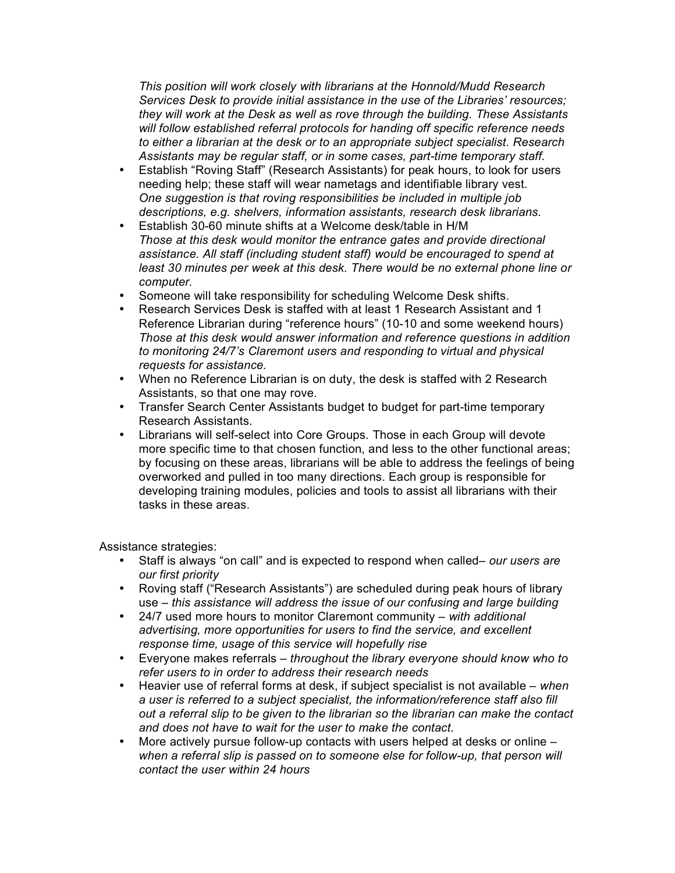*This position will work closely with librarians at the Honnold/Mudd Research Services Desk to provide initial assistance in the use of the Libraries' resources; they will work at the Desk as well as rove through the building. These Assistants will follow established referral protocols for handing off specific reference needs to either a librarian at the desk or to an appropriate subject specialist. Research Assistants may be regular staff, or in some cases, part-time temporary staff.*

- Establish "Roving Staff" (Research Assistants) for peak hours, to look for users needing help; these staff will wear nametags and identifiable library vest. *One suggestion is that roving responsibilities be included in multiple job descriptions, e.g. shelvers, information assistants, research desk librarians.*
- Establish 30-60 minute shifts at a Welcome desk/table in H/M *Those at this desk would monitor the entrance gates and provide directional assistance. All staff (including student staff) would be encouraged to spend at least 30 minutes per week at this desk. There would be no external phone line or computer.*
- Someone will take responsibility for scheduling Welcome Desk shifts.
- Research Services Desk is staffed with at least 1 Research Assistant and 1 Reference Librarian during "reference hours" (10-10 and some weekend hours) *Those at this desk would answer information and reference questions in addition to monitoring 24/7's Claremont users and responding to virtual and physical requests for assistance.*
- When no Reference Librarian is on duty, the desk is staffed with 2 Research Assistants, so that one may rove.
- Transfer Search Center Assistants budget to budget for part-time temporary Research Assistants.
- Librarians will self-select into Core Groups. Those in each Group will devote more specific time to that chosen function, and less to the other functional areas; by focusing on these areas, librarians will be able to address the feelings of being overworked and pulled in too many directions. Each group is responsible for developing training modules, policies and tools to assist all librarians with their tasks in these areas.

Assistance strategies:

- Staff is always "on call" and is expected to respond when called– *our users are our first priority*
- Roving staff ("Research Assistants") are scheduled during peak hours of library use – *this assistance will address the issue of our confusing and large building*
- 24/7 used more hours to monitor Claremont community *with additional advertising, more opportunities for users to find the service, and excellent response time, usage of this service will hopefully rise*
- Everyone makes referrals *throughout the library everyone should know who to refer users to in order to address their research needs*
- Heavier use of referral forms at desk, if subject specialist is not available *when a user is referred to a subject specialist, the information/reference staff also fill out a referral slip to be given to the librarian so the librarian can make the contact and does not have to wait for the user to make the contact.*
- More actively pursue follow-up contacts with users helped at desks or online *when a referral slip is passed on to someone else for follow-up, that person will contact the user within 24 hours*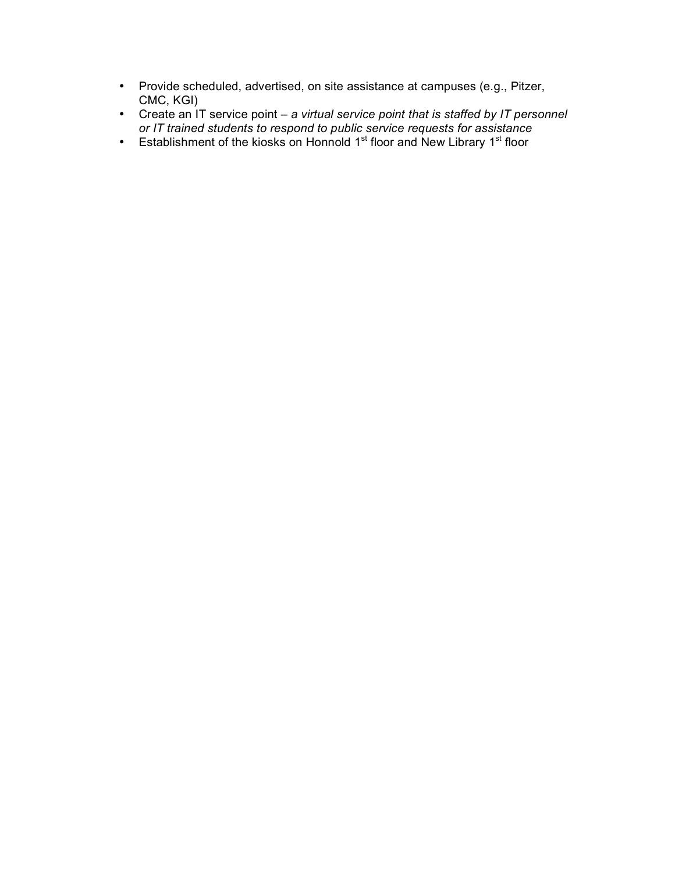- Provide scheduled, advertised, on site assistance at campuses (e.g., Pitzer, CMC, KGI)
- Create an IT service point *a virtual service point that is staffed by IT personnel or IT trained students to respond to public service requests for assistance*
- Establishment of the kiosks on Honnold 1<sup>st</sup> floor and New Library 1<sup>st</sup> floor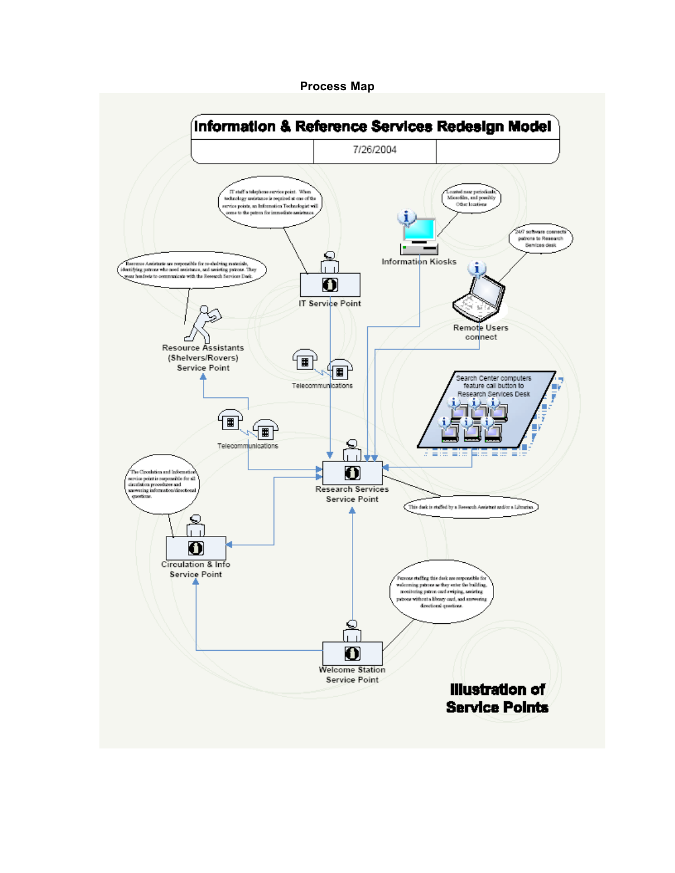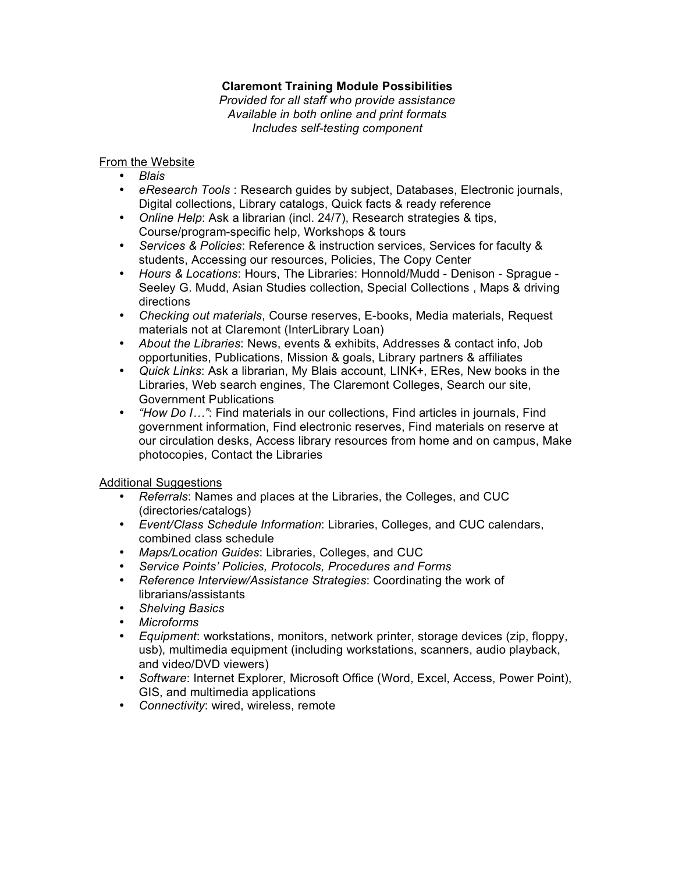## **Claremont Training Module Possibilities**

*Provided for all staff who provide assistance Available in both online and print formats Includes self-testing component*

## From the Website

- *Blais*
- *eResearch Tools* : Research guides by subject, Databases, Electronic journals, Digital collections, Library catalogs, Quick facts & ready reference
- *Online Help*: Ask a librarian (incl. 24/7), Research strategies & tips, Course/program-specific help, Workshops & tours
- *Services & Policies*: Reference & instruction services, Services for faculty & students, Accessing our resources, Policies, The Copy Center
- *Hours & Locations*: Hours, The Libraries: Honnold/Mudd Denison Sprague Seeley G. Mudd, Asian Studies collection, Special Collections , Maps & driving directions
- *Checking out materials*, Course reserves, E-books, Media materials, Request materials not at Claremont (InterLibrary Loan)
- *About the Libraries*: News, events & exhibits, Addresses & contact info, Job opportunities, Publications, Mission & goals, Library partners & affiliates
- *Quick Links*: Ask a librarian, My Blais account, LINK+, ERes, New books in the Libraries, Web search engines, The Claremont Colleges, Search our site, Government Publications
- *"How Do I…"*: Find materials in our collections, Find articles in journals, Find government information, Find electronic reserves, Find materials on reserve at our circulation desks, Access library resources from home and on campus, Make photocopies, Contact the Libraries

## Additional Suggestions

- *Referrals*: Names and places at the Libraries, the Colleges, and CUC (directories/catalogs)
- *Event/Class Schedule Information*: Libraries, Colleges, and CUC calendars, combined class schedule
- *Maps/Location Guides*: Libraries, Colleges, and CUC
- *Service Points' Policies, Protocols, Procedures and Forms*
- *Reference Interview/Assistance Strategies*: Coordinating the work of librarians/assistants
- *Shelving Basics*
- *Microforms*
- *Equipment*: workstations, monitors, network printer, storage devices (zip, floppy, usb), multimedia equipment (including workstations, scanners, audio playback, and video/DVD viewers)
- *Software*: Internet Explorer, Microsoft Office (Word, Excel, Access, Power Point), GIS, and multimedia applications
- *Connectivity*: wired, wireless, remote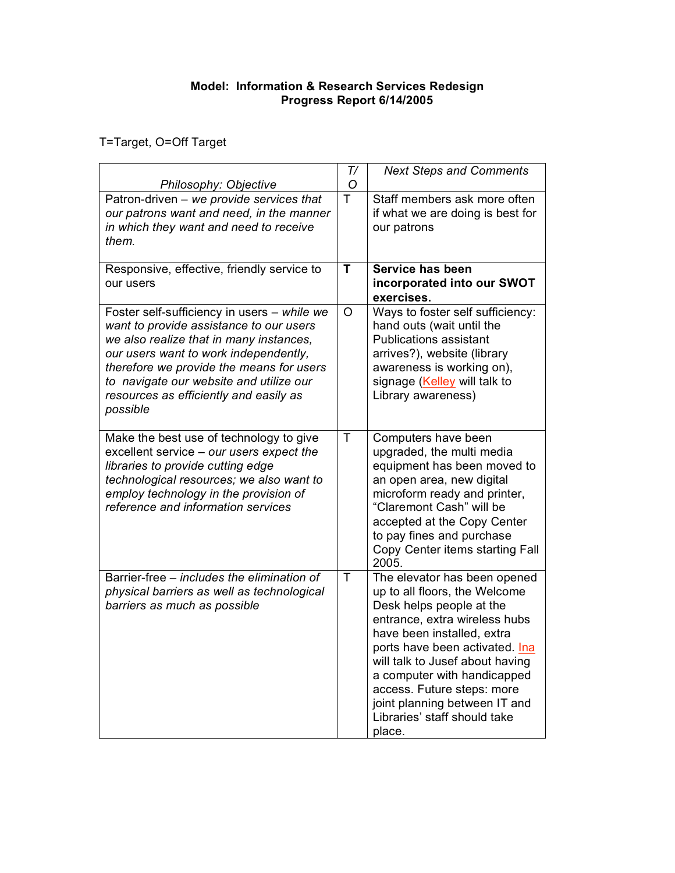## **Model: Information & Research Services Redesign Progress Report 6/14/2005**

T=Target, O=Off Target

|                                                                                                                                                                                                                                                                                                                         | T/ | <b>Next Steps and Comments</b>                                                                                                                                                                                                                                                                                                                                        |
|-------------------------------------------------------------------------------------------------------------------------------------------------------------------------------------------------------------------------------------------------------------------------------------------------------------------------|----|-----------------------------------------------------------------------------------------------------------------------------------------------------------------------------------------------------------------------------------------------------------------------------------------------------------------------------------------------------------------------|
| Philosophy: Objective                                                                                                                                                                                                                                                                                                   | O  |                                                                                                                                                                                                                                                                                                                                                                       |
| Patron-driven - we provide services that<br>our patrons want and need, in the manner<br>in which they want and need to receive<br>them.                                                                                                                                                                                 | T  | Staff members ask more often<br>if what we are doing is best for<br>our patrons                                                                                                                                                                                                                                                                                       |
| Responsive, effective, friendly service to<br>our users                                                                                                                                                                                                                                                                 | T  | Service has been<br>incorporated into our SWOT<br>exercises.                                                                                                                                                                                                                                                                                                          |
| Foster self-sufficiency in users - while we<br>want to provide assistance to our users<br>we also realize that in many instances,<br>our users want to work independently,<br>therefore we provide the means for users<br>to navigate our website and utilize our<br>resources as efficiently and easily as<br>possible | O  | Ways to foster self sufficiency:<br>hand outs (wait until the<br><b>Publications assistant</b><br>arrives?), website (library<br>awareness is working on),<br>signage (Kelley will talk to<br>Library awareness)                                                                                                                                                      |
| Make the best use of technology to give<br>excellent service - our users expect the<br>libraries to provide cutting edge<br>technological resources; we also want to<br>employ technology in the provision of<br>reference and information services                                                                     | Ŧ  | Computers have been<br>upgraded, the multi media<br>equipment has been moved to<br>an open area, new digital<br>microform ready and printer,<br>"Claremont Cash" will be<br>accepted at the Copy Center<br>to pay fines and purchase<br>Copy Center items starting Fall<br>2005.                                                                                      |
| Barrier-free – includes the elimination of<br>physical barriers as well as technological<br>barriers as much as possible                                                                                                                                                                                                | T  | The elevator has been opened<br>up to all floors, the Welcome<br>Desk helps people at the<br>entrance, extra wireless hubs<br>have been installed, extra<br>ports have been activated. Ina<br>will talk to Jusef about having<br>a computer with handicapped<br>access. Future steps: more<br>joint planning between IT and<br>Libraries' staff should take<br>place. |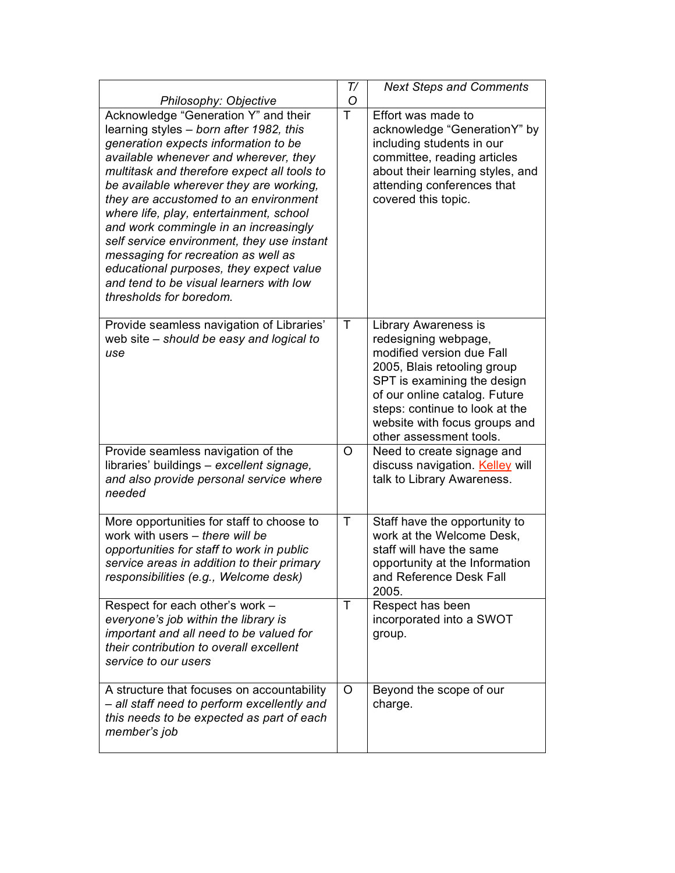|                                                                                                                                                                                                                                                                                                                                                                                                                                                                                                                                                                                               | T/ | <b>Next Steps and Comments</b>                                                                                                                                                                                                                                         |
|-----------------------------------------------------------------------------------------------------------------------------------------------------------------------------------------------------------------------------------------------------------------------------------------------------------------------------------------------------------------------------------------------------------------------------------------------------------------------------------------------------------------------------------------------------------------------------------------------|----|------------------------------------------------------------------------------------------------------------------------------------------------------------------------------------------------------------------------------------------------------------------------|
| Philosophy: Objective                                                                                                                                                                                                                                                                                                                                                                                                                                                                                                                                                                         | O  |                                                                                                                                                                                                                                                                        |
| Acknowledge "Generation Y" and their<br>learning styles - born after 1982, this<br>generation expects information to be<br>available whenever and wherever, they<br>multitask and therefore expect all tools to<br>be available wherever they are working,<br>they are accustomed to an environment<br>where life, play, entertainment, school<br>and work commingle in an increasingly<br>self service environment, they use instant<br>messaging for recreation as well as<br>educational purposes, they expect value<br>and tend to be visual learners with low<br>thresholds for boredom. | T  | Effort was made to<br>acknowledge "GenerationY" by<br>including students in our<br>committee, reading articles<br>about their learning styles, and<br>attending conferences that<br>covered this topic.                                                                |
| Provide seamless navigation of Libraries'<br>web site - should be easy and logical to<br>use                                                                                                                                                                                                                                                                                                                                                                                                                                                                                                  | T  | Library Awareness is<br>redesigning webpage,<br>modified version due Fall<br>2005, Blais retooling group<br>SPT is examining the design<br>of our online catalog. Future<br>steps: continue to look at the<br>website with focus groups and<br>other assessment tools. |
| Provide seamless navigation of the<br>libraries' buildings - excellent signage,<br>and also provide personal service where<br>needed                                                                                                                                                                                                                                                                                                                                                                                                                                                          | O  | Need to create signage and<br>discuss navigation. Kelley will<br>talk to Library Awareness.                                                                                                                                                                            |
| More opportunities for staff to choose to<br>work with users - there will be<br>opportunities for staff to work in public<br>service areas in addition to their primary<br>responsibilities (e.g., Welcome desk)                                                                                                                                                                                                                                                                                                                                                                              | T  | Staff have the opportunity to<br>work at the Welcome Desk.<br>staff will have the same<br>opportunity at the Information<br>and Reference Desk Fall<br>2005.                                                                                                           |
| Respect for each other's work -<br>everyone's job within the library is<br>important and all need to be valued for<br>their contribution to overall excellent<br>service to our users                                                                                                                                                                                                                                                                                                                                                                                                         | T  | Respect has been<br>incorporated into a SWOT<br>group.                                                                                                                                                                                                                 |
| A structure that focuses on accountability<br>- all staff need to perform excellently and<br>this needs to be expected as part of each<br>member's job                                                                                                                                                                                                                                                                                                                                                                                                                                        | O  | Beyond the scope of our<br>charge.                                                                                                                                                                                                                                     |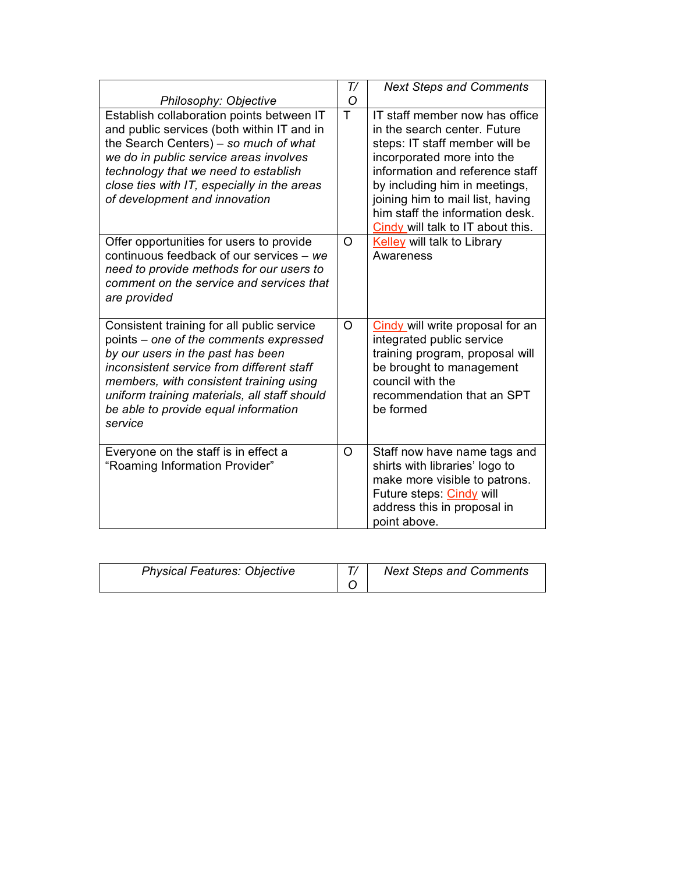|                                                                                                                                                                                                                                                                                                                      | T/      | <b>Next Steps and Comments</b>                                                                                                                                                                                                                                                                                 |
|----------------------------------------------------------------------------------------------------------------------------------------------------------------------------------------------------------------------------------------------------------------------------------------------------------------------|---------|----------------------------------------------------------------------------------------------------------------------------------------------------------------------------------------------------------------------------------------------------------------------------------------------------------------|
| Philosophy: Objective                                                                                                                                                                                                                                                                                                | O       |                                                                                                                                                                                                                                                                                                                |
| Establish collaboration points between IT<br>and public services (both within IT and in<br>the Search Centers) - so much of what<br>we do in public service areas involves<br>technology that we need to establish<br>close ties with IT, especially in the areas<br>of development and innovation                   | T       | IT staff member now has office<br>in the search center. Future<br>steps: IT staff member will be<br>incorporated more into the<br>information and reference staff<br>by including him in meetings,<br>joining him to mail list, having<br>him staff the information desk.<br>Cindy will talk to IT about this. |
| Offer opportunities for users to provide<br>continuous feedback of our services - we<br>need to provide methods for our users to<br>comment on the service and services that<br>are provided                                                                                                                         | $\circ$ | Kelley will talk to Library<br>Awareness                                                                                                                                                                                                                                                                       |
| Consistent training for all public service<br>points – one of the comments expressed<br>by our users in the past has been<br>inconsistent service from different staff<br>members, with consistent training using<br>uniform training materials, all staff should<br>be able to provide equal information<br>service | $\circ$ | Cindy will write proposal for an<br>integrated public service<br>training program, proposal will<br>be brought to management<br>council with the<br>recommendation that an SPT<br>be formed                                                                                                                    |
| Everyone on the staff is in effect a<br>"Roaming Information Provider"                                                                                                                                                                                                                                               | $\circ$ | Staff now have name tags and<br>shirts with libraries' logo to<br>make more visible to patrons.<br>Future steps: Cindy will<br>address this in proposal in<br>point above.                                                                                                                                     |

| <b>Physical Features: Objective</b> | <b>Next Steps and Comments</b> |
|-------------------------------------|--------------------------------|
|                                     |                                |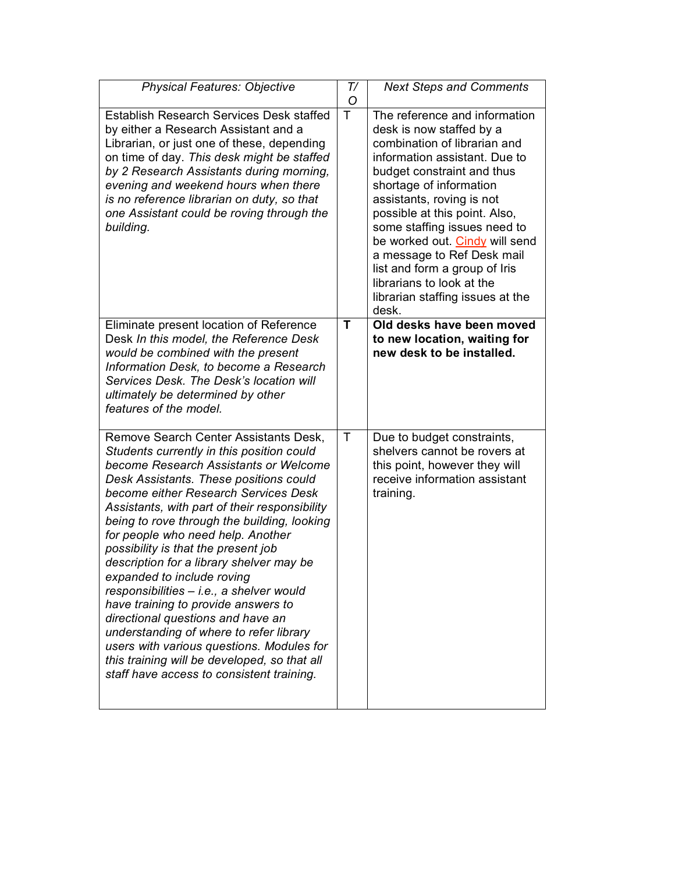| <b>Physical Features: Objective</b>                                                                                                                                                                                                                                                                                                                                                                                                                                                                                                                                                                                                                                                                                                                                              | T/<br>O | <b>Next Steps and Comments</b>                                                                                                                                                                                                                                                                                                                                                                                                                               |
|----------------------------------------------------------------------------------------------------------------------------------------------------------------------------------------------------------------------------------------------------------------------------------------------------------------------------------------------------------------------------------------------------------------------------------------------------------------------------------------------------------------------------------------------------------------------------------------------------------------------------------------------------------------------------------------------------------------------------------------------------------------------------------|---------|--------------------------------------------------------------------------------------------------------------------------------------------------------------------------------------------------------------------------------------------------------------------------------------------------------------------------------------------------------------------------------------------------------------------------------------------------------------|
| <b>Establish Research Services Desk staffed</b><br>by either a Research Assistant and a<br>Librarian, or just one of these, depending<br>on time of day. This desk might be staffed<br>by 2 Research Assistants during morning,<br>evening and weekend hours when there<br>is no reference librarian on duty, so that<br>one Assistant could be roving through the<br>building.                                                                                                                                                                                                                                                                                                                                                                                                  | T       | The reference and information<br>desk is now staffed by a<br>combination of librarian and<br>information assistant. Due to<br>budget constraint and thus<br>shortage of information<br>assistants, roving is not<br>possible at this point. Also,<br>some staffing issues need to<br>be worked out. Cindy will send<br>a message to Ref Desk mail<br>list and form a group of Iris<br>librarians to look at the<br>librarian staffing issues at the<br>desk. |
| Eliminate present location of Reference<br>Desk In this model, the Reference Desk<br>would be combined with the present<br>Information Desk, to become a Research<br>Services Desk. The Desk's location will<br>ultimately be determined by other<br>features of the model.                                                                                                                                                                                                                                                                                                                                                                                                                                                                                                      | т       | Old desks have been moved<br>to new location, waiting for<br>new desk to be installed.                                                                                                                                                                                                                                                                                                                                                                       |
| Remove Search Center Assistants Desk,<br>Students currently in this position could<br>become Research Assistants or Welcome<br>Desk Assistants. These positions could<br>become either Research Services Desk<br>Assistants, with part of their responsibility<br>being to rove through the building, looking<br>for people who need help. Another<br>possibility is that the present job<br>description for a library shelver may be<br>expanded to include roving<br>responsibilities - i.e., a shelver would<br>have training to provide answers to<br>directional questions and have an<br>understanding of where to refer library<br>users with various questions. Modules for<br>this training will be developed, so that all<br>staff have access to consistent training. | Τ       | Due to budget constraints,<br>shelvers cannot be rovers at<br>this point, however they will<br>receive information assistant<br>training.                                                                                                                                                                                                                                                                                                                    |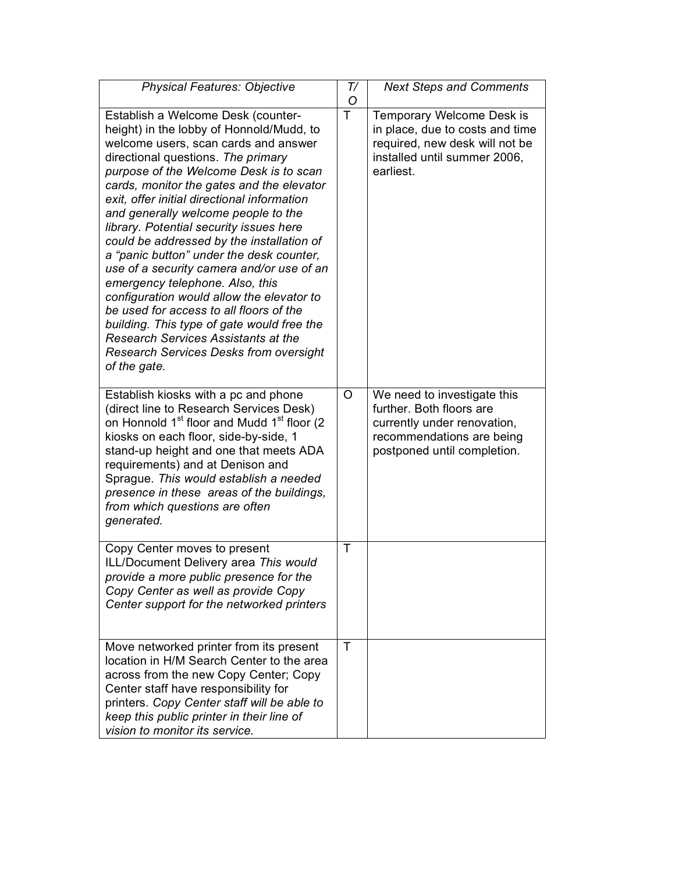| <b>Physical Features: Objective</b>                                                                                                                                                                                                                                                                                                                                                                                                                                                                                                                                                                                                                                                                                                                                                                                | T/<br>O | <b>Next Steps and Comments</b>                                                                                                                     |
|--------------------------------------------------------------------------------------------------------------------------------------------------------------------------------------------------------------------------------------------------------------------------------------------------------------------------------------------------------------------------------------------------------------------------------------------------------------------------------------------------------------------------------------------------------------------------------------------------------------------------------------------------------------------------------------------------------------------------------------------------------------------------------------------------------------------|---------|----------------------------------------------------------------------------------------------------------------------------------------------------|
| Establish a Welcome Desk (counter-<br>height) in the lobby of Honnold/Mudd, to<br>welcome users, scan cards and answer<br>directional questions. The primary<br>purpose of the Welcome Desk is to scan<br>cards, monitor the gates and the elevator<br>exit, offer initial directional information<br>and generally welcome people to the<br>library. Potential security issues here<br>could be addressed by the installation of<br>a "panic button" under the desk counter,<br>use of a security camera and/or use of an<br>emergency telephone. Also, this<br>configuration would allow the elevator to<br>be used for access to all floors of the<br>building. This type of gate would free the<br><b>Research Services Assistants at the</b><br><b>Research Services Desks from oversight</b><br>of the gate. | T       | Temporary Welcome Desk is<br>in place, due to costs and time<br>required, new desk will not be<br>installed until summer 2006,<br>earliest.        |
| Establish kiosks with a pc and phone<br>(direct line to Research Services Desk)<br>on Honnold 1 <sup>st</sup> floor and Mudd 1 <sup>st</sup> floor (2<br>kiosks on each floor, side-by-side, 1<br>stand-up height and one that meets ADA<br>requirements) and at Denison and<br>Sprague. This would establish a needed<br>presence in these areas of the buildings,<br>from which questions are often<br>generated.                                                                                                                                                                                                                                                                                                                                                                                                | O       | We need to investigate this<br>further. Both floors are<br>currently under renovation,<br>recommendations are being<br>postponed until completion. |
| Copy Center moves to present<br>ILL/Document Delivery area This would<br>provide a more public presence for the<br>Copy Center as well as provide Copy<br>Center support for the networked printers                                                                                                                                                                                                                                                                                                                                                                                                                                                                                                                                                                                                                | Τ       |                                                                                                                                                    |
| Move networked printer from its present<br>location in H/M Search Center to the area<br>across from the new Copy Center; Copy<br>Center staff have responsibility for<br>printers. Copy Center staff will be able to<br>keep this public printer in their line of<br>vision to monitor its service.                                                                                                                                                                                                                                                                                                                                                                                                                                                                                                                | $\top$  |                                                                                                                                                    |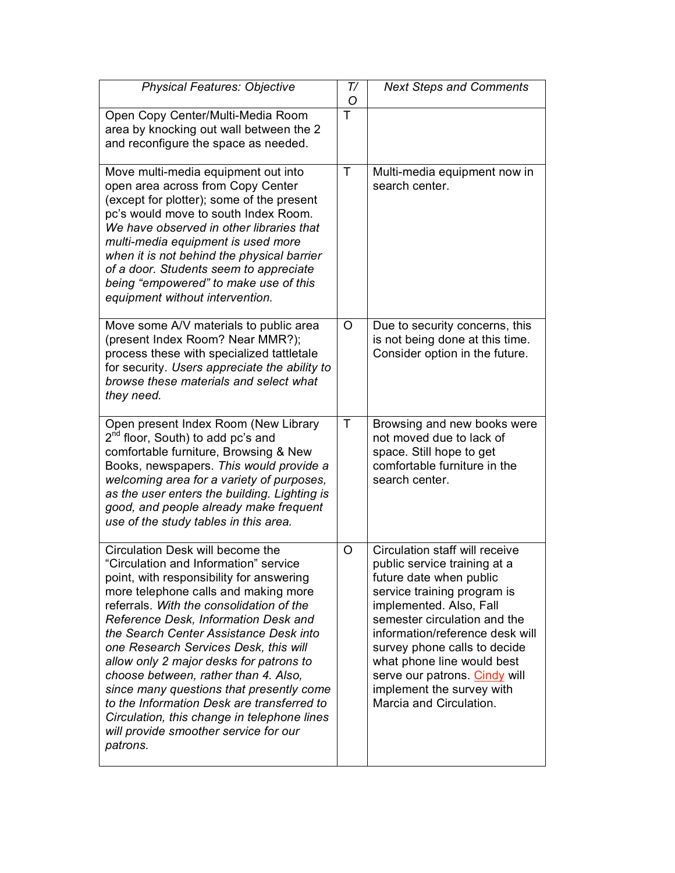| <b>Physical Features: Objective</b>                                                                                                                                                                                                                                                                                                                                                                                                                                                                                                                                                                                   | T/<br>O | <b>Next Steps and Comments</b>                                                                                                                                                                                                                                                                                                                                                |
|-----------------------------------------------------------------------------------------------------------------------------------------------------------------------------------------------------------------------------------------------------------------------------------------------------------------------------------------------------------------------------------------------------------------------------------------------------------------------------------------------------------------------------------------------------------------------------------------------------------------------|---------|-------------------------------------------------------------------------------------------------------------------------------------------------------------------------------------------------------------------------------------------------------------------------------------------------------------------------------------------------------------------------------|
| Open Copy Center/Multi-Media Room<br>area by knocking out wall between the 2<br>and reconfigure the space as needed.                                                                                                                                                                                                                                                                                                                                                                                                                                                                                                  | T       |                                                                                                                                                                                                                                                                                                                                                                               |
| Move multi-media equipment out into<br>open area across from Copy Center<br>(except for plotter); some of the present<br>pc's would move to south Index Room.<br>We have observed in other libraries that<br>multi-media equipment is used more<br>when it is not behind the physical barrier<br>of a door. Students seem to appreciate<br>being "empowered" to make use of this<br>equipment without intervention.                                                                                                                                                                                                   | Τ       | Multi-media equipment now in<br>search center.                                                                                                                                                                                                                                                                                                                                |
| Move some A/V materials to public area<br>(present Index Room? Near MMR?);<br>process these with specialized tattletale<br>for security. Users appreciate the ability to<br>browse these materials and select what<br>they need.                                                                                                                                                                                                                                                                                                                                                                                      | O       | Due to security concerns, this<br>is not being done at this time.<br>Consider option in the future.                                                                                                                                                                                                                                                                           |
| Open present Index Room (New Library<br>2 <sup>nd</sup> floor, South) to add pc's and<br>comfortable furniture, Browsing & New<br>Books, newspapers. This would provide a<br>welcoming area for a variety of purposes,<br>as the user enters the building. Lighting is<br>good, and people already make frequent<br>use of the study tables in this area.                                                                                                                                                                                                                                                             | T       | Browsing and new books were<br>not moved due to lack of<br>space. Still hope to get<br>comfortable furniture in the<br>search center.                                                                                                                                                                                                                                         |
| Circulation Desk will become the<br>"Circulation and Information" service<br>point, with responsibility for answering<br>more telephone calls and making more<br>referrals. With the consolidation of the<br>Reference Desk, Information Desk and<br>the Search Center Assistance Desk into<br>one Research Services Desk, this will<br>allow only 2 major desks for patrons to<br>choose between, rather than 4. Also,<br>since many questions that presently come<br>to the Information Desk are transferred to<br>Circulation, this change in telephone lines<br>will provide smoother service for our<br>patrons. | O       | Circulation staff will receive<br>public service training at a<br>future date when public<br>service training program is<br>implemented. Also, Fall<br>semester circulation and the<br>information/reference desk will<br>survey phone calls to decide<br>what phone line would best<br>serve our patrons. Cindy will<br>implement the survey with<br>Marcia and Circulation. |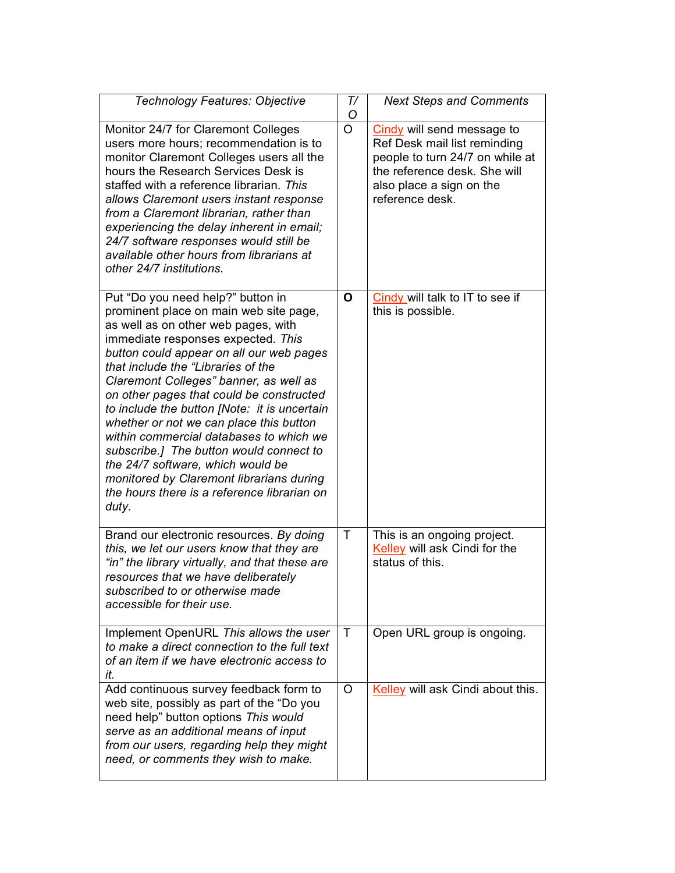| Technology Features: Objective                                                                                                                                                                                                                                                                                                                                                                                                                                                                                                                                                                                                                             | T/<br>O        | <b>Next Steps and Comments</b>                                                                                                                                               |
|------------------------------------------------------------------------------------------------------------------------------------------------------------------------------------------------------------------------------------------------------------------------------------------------------------------------------------------------------------------------------------------------------------------------------------------------------------------------------------------------------------------------------------------------------------------------------------------------------------------------------------------------------------|----------------|------------------------------------------------------------------------------------------------------------------------------------------------------------------------------|
| Monitor 24/7 for Claremont Colleges<br>users more hours; recommendation is to<br>monitor Claremont Colleges users all the<br>hours the Research Services Desk is<br>staffed with a reference librarian. This<br>allows Claremont users instant response<br>from a Claremont librarian, rather than<br>experiencing the delay inherent in email;<br>24/7 software responses would still be<br>available other hours from librarians at<br>other 24/7 institutions.                                                                                                                                                                                          | $\overline{O}$ | Cindy will send message to<br>Ref Desk mail list reminding<br>people to turn 24/7 on while at<br>the reference desk. She will<br>also place a sign on the<br>reference desk. |
| Put "Do you need help?" button in<br>prominent place on main web site page,<br>as well as on other web pages, with<br>immediate responses expected. This<br>button could appear on all our web pages<br>that include the "Libraries of the<br>Claremont Colleges" banner, as well as<br>on other pages that could be constructed<br>to include the button [Note: it is uncertain<br>whether or not we can place this button<br>within commercial databases to which we<br>subscribe.] The button would connect to<br>the 24/7 software, which would be<br>monitored by Claremont librarians during<br>the hours there is a reference librarian on<br>duty. | O              | Cindy will talk to IT to see if<br>this is possible.                                                                                                                         |
| Brand our electronic resources. By doing<br>this, we let our users know that they are<br>"in" the library virtually, and that these are<br>resources that we have deliberately<br>subscribed to or otherwise made<br>accessible for their use.                                                                                                                                                                                                                                                                                                                                                                                                             | $\mathsf{T}$   | This is an ongoing project.<br>Kelley will ask Cindi for the<br>status of this.                                                                                              |
| Implement OpenURL This allows the user<br>to make a direct connection to the full text<br>of an item if we have electronic access to<br>it.                                                                                                                                                                                                                                                                                                                                                                                                                                                                                                                | $\top$         | Open URL group is ongoing.                                                                                                                                                   |
| Add continuous survey feedback form to<br>web site, possibly as part of the "Do you<br>need help" button options This would<br>serve as an additional means of input<br>from our users, regarding help they might<br>need, or comments they wish to make.                                                                                                                                                                                                                                                                                                                                                                                                  | O              | Kelley will ask Cindi about this.                                                                                                                                            |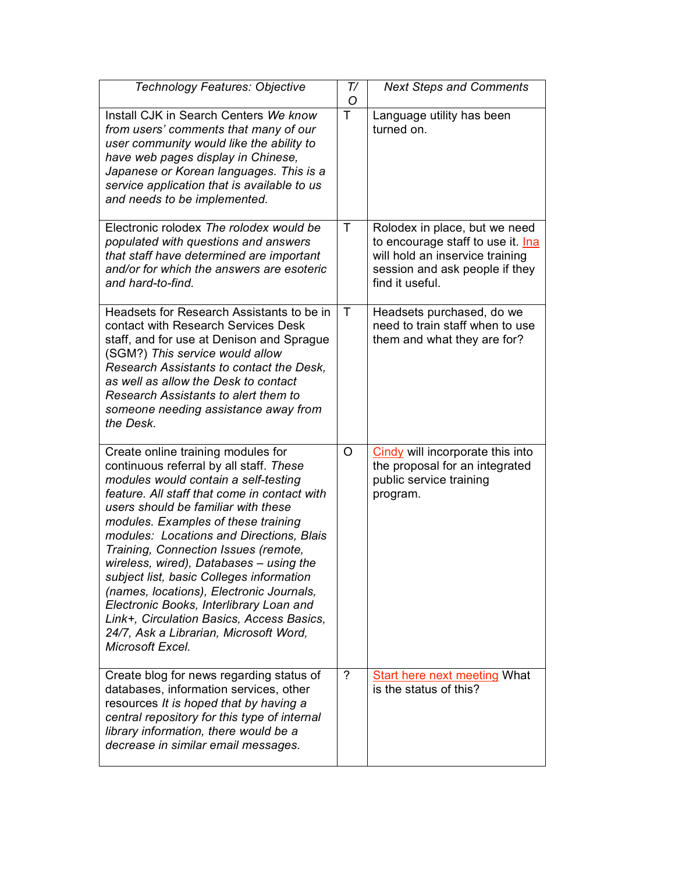| Technology Features: Objective                                                                                                                                                                                                                                                                                                                                                                                                                                                                                                                                                                                                   | T/<br>O        | <b>Next Steps and Comments</b>                                                                                                                             |
|----------------------------------------------------------------------------------------------------------------------------------------------------------------------------------------------------------------------------------------------------------------------------------------------------------------------------------------------------------------------------------------------------------------------------------------------------------------------------------------------------------------------------------------------------------------------------------------------------------------------------------|----------------|------------------------------------------------------------------------------------------------------------------------------------------------------------|
| Install CJK in Search Centers We know<br>from users' comments that many of our<br>user community would like the ability to<br>have web pages display in Chinese,<br>Japanese or Korean languages. This is a<br>service application that is available to us<br>and needs to be implemented.                                                                                                                                                                                                                                                                                                                                       | Ŧ              | Language utility has been<br>turned on.                                                                                                                    |
| Electronic rolodex The rolodex would be<br>populated with questions and answers<br>that staff have determined are important<br>and/or for which the answers are esoteric<br>and hard-to-find.                                                                                                                                                                                                                                                                                                                                                                                                                                    | Τ              | Rolodex in place, but we need<br>to encourage staff to use it. Ina<br>will hold an inservice training<br>session and ask people if they<br>find it useful. |
| Headsets for Research Assistants to be in<br>contact with Research Services Desk<br>staff, and for use at Denison and Sprague<br>(SGM?) This service would allow<br>Research Assistants to contact the Desk,<br>as well as allow the Desk to contact<br>Research Assistants to alert them to<br>someone needing assistance away from<br>the Desk.                                                                                                                                                                                                                                                                                | Τ              | Headsets purchased, do we<br>need to train staff when to use<br>them and what they are for?                                                                |
| Create online training modules for<br>continuous referral by all staff. These<br>modules would contain a self-testing<br>feature. All staff that come in contact with<br>users should be familiar with these<br>modules. Examples of these training<br>modules: Locations and Directions, Blais<br>Training, Connection Issues (remote,<br>wireless, wired), Databases – using the<br>subject list, basic Colleges information<br>(names, locations), Electronic Journals,<br>Electronic Books, Interlibrary Loan and<br>Link+, Circulation Basics, Access Basics,<br>24/7, Ask a Librarian, Microsoft Word,<br>Microsoft Excel. | O              | Cindy will incorporate this into<br>the proposal for an integrated<br>public service training<br>program.                                                  |
| Create blog for news regarding status of<br>databases, information services, other<br>resources It is hoped that by having a<br>central repository for this type of internal<br>library information, there would be a<br>decrease in similar email messages.                                                                                                                                                                                                                                                                                                                                                                     | $\overline{?}$ | <b>Start here next meeting What</b><br>is the status of this?                                                                                              |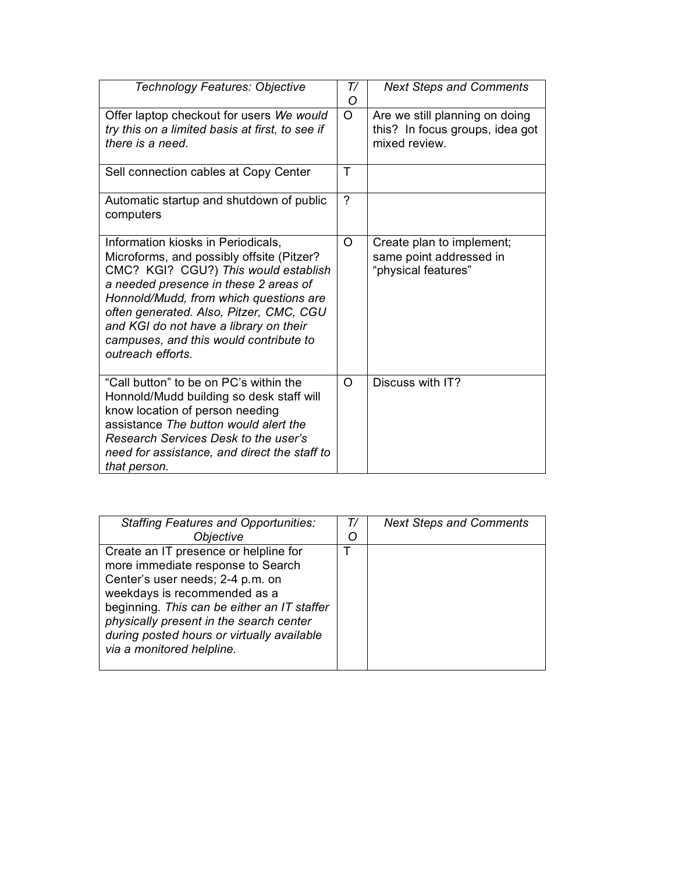| Technology Features: Objective                                                                                                                                                                                                                                                                                                                                 | T/<br>O  | <b>Next Steps and Comments</b>                                                     |
|----------------------------------------------------------------------------------------------------------------------------------------------------------------------------------------------------------------------------------------------------------------------------------------------------------------------------------------------------------------|----------|------------------------------------------------------------------------------------|
| Offer laptop checkout for users We would<br>try this on a limited basis at first, to see if<br>there is a need.                                                                                                                                                                                                                                                | $\Omega$ | Are we still planning on doing<br>this? In focus groups, idea got<br>mixed review. |
| Sell connection cables at Copy Center                                                                                                                                                                                                                                                                                                                          | т        |                                                                                    |
| Automatic startup and shutdown of public<br>computers                                                                                                                                                                                                                                                                                                          | $\gamma$ |                                                                                    |
| Information kiosks in Periodicals,<br>Microforms, and possibly offsite (Pitzer?<br>CMC? KGI? CGU?) This would establish<br>a needed presence in these 2 areas of<br>Honnold/Mudd, from which questions are<br>often generated. Also, Pitzer, CMC, CGU<br>and KGI do not have a library on their<br>campuses, and this would contribute to<br>outreach efforts. | O        | Create plan to implement;<br>same point addressed in<br>"physical features"        |
| "Call button" to be on PC's within the<br>Honnold/Mudd building so desk staff will<br>know location of person needing<br>assistance The button would alert the<br>Research Services Desk to the user's<br>need for assistance, and direct the staff to<br>that person.                                                                                         | $\circ$  | Discuss with IT?                                                                   |

| <b>Staffing Features and Opportunities:</b> | $T\prime$ | <b>Next Steps and Comments</b> |
|---------------------------------------------|-----------|--------------------------------|
| <b>Objective</b>                            | O         |                                |
| Create an IT presence or helpline for       |           |                                |
| more immediate response to Search           |           |                                |
| Center's user needs; 2-4 p.m. on            |           |                                |
| weekdays is recommended as a                |           |                                |
| beginning. This can be either an IT staffer |           |                                |
| physically present in the search center     |           |                                |
| during posted hours or virtually available  |           |                                |
| via a monitored helpline.                   |           |                                |
|                                             |           |                                |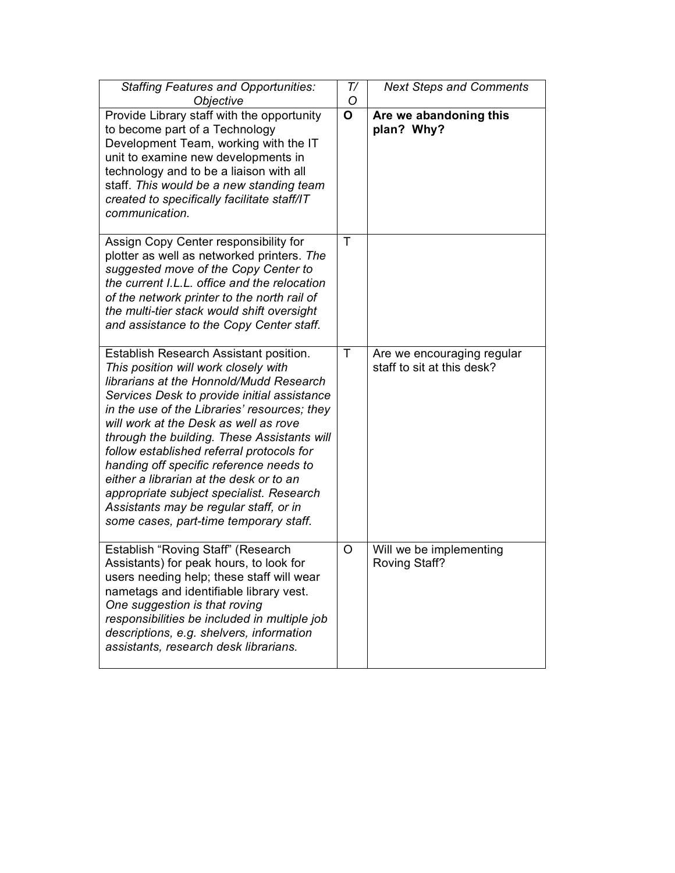| <b>Staffing Features and Opportunities:</b><br>Objective                                                                                                                                                                                                                                                                                                                                                                                                                                                                                                                            | T/<br>O      | <b>Next Steps and Comments</b>                           |
|-------------------------------------------------------------------------------------------------------------------------------------------------------------------------------------------------------------------------------------------------------------------------------------------------------------------------------------------------------------------------------------------------------------------------------------------------------------------------------------------------------------------------------------------------------------------------------------|--------------|----------------------------------------------------------|
| Provide Library staff with the opportunity<br>to become part of a Technology<br>Development Team, working with the IT<br>unit to examine new developments in<br>technology and to be a liaison with all<br>staff. This would be a new standing team<br>created to specifically facilitate staff/IT<br>communication.                                                                                                                                                                                                                                                                | $\mathbf{o}$ | Are we abandoning this<br>plan? Why?                     |
| Assign Copy Center responsibility for<br>plotter as well as networked printers. The<br>suggested move of the Copy Center to<br>the current I.L.L. office and the relocation<br>of the network printer to the north rail of<br>the multi-tier stack would shift oversight<br>and assistance to the Copy Center staff.                                                                                                                                                                                                                                                                | Τ            |                                                          |
| Establish Research Assistant position.<br>This position will work closely with<br>librarians at the Honnold/Mudd Research<br>Services Desk to provide initial assistance<br>in the use of the Libraries' resources; they<br>will work at the Desk as well as rove<br>through the building. These Assistants will<br>follow established referral protocols for<br>handing off specific reference needs to<br>either a librarian at the desk or to an<br>appropriate subject specialist. Research<br>Assistants may be regular staff, or in<br>some cases, part-time temporary staff. | $\top$       | Are we encouraging regular<br>staff to sit at this desk? |
| Establish "Roving Staff" (Research<br>Assistants) for peak hours, to look for<br>users needing help; these staff will wear<br>nametags and identifiable library vest.<br>One suggestion is that roving<br>responsibilities be included in multiple job<br>descriptions, e.g. shelvers, information<br>assistants, research desk librarians.                                                                                                                                                                                                                                         | O            | Will we be implementing<br><b>Roving Staff?</b>          |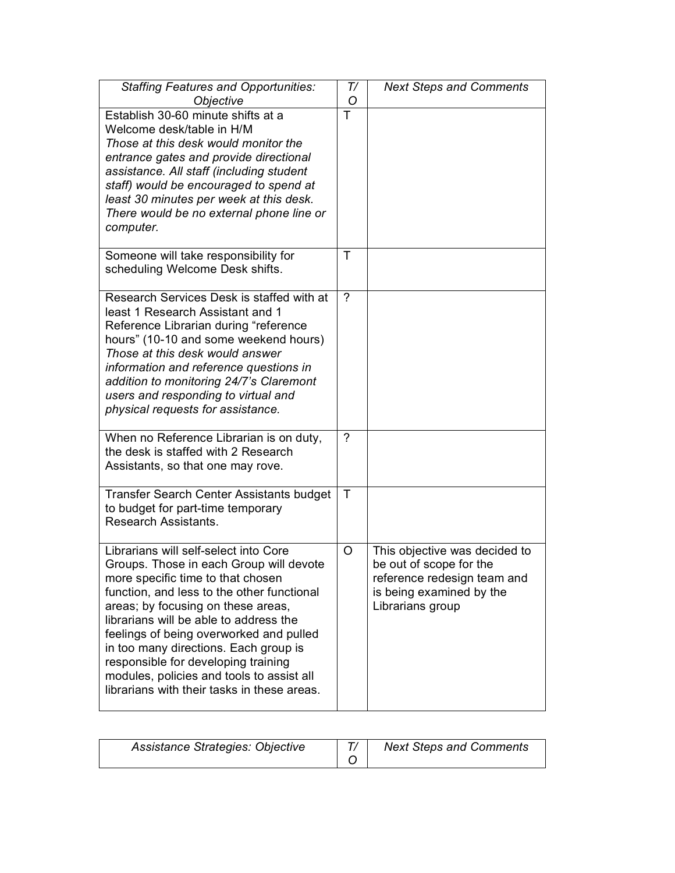| <b>Staffing Features and Opportunities:</b><br>Objective                                                                                                                                                                                                                                                                                                                                                                                                                   | T/<br>O | <b>Next Steps and Comments</b>                                                                                                          |
|----------------------------------------------------------------------------------------------------------------------------------------------------------------------------------------------------------------------------------------------------------------------------------------------------------------------------------------------------------------------------------------------------------------------------------------------------------------------------|---------|-----------------------------------------------------------------------------------------------------------------------------------------|
| Establish 30-60 minute shifts at a<br>Welcome desk/table in H/M<br>Those at this desk would monitor the<br>entrance gates and provide directional<br>assistance. All staff (including student<br>staff) would be encouraged to spend at<br>least 30 minutes per week at this desk.<br>There would be no external phone line or<br>computer.                                                                                                                                | T       |                                                                                                                                         |
| Someone will take responsibility for<br>scheduling Welcome Desk shifts.                                                                                                                                                                                                                                                                                                                                                                                                    | T       |                                                                                                                                         |
| Research Services Desk is staffed with at<br>least 1 Research Assistant and 1<br>Reference Librarian during "reference<br>hours" (10-10 and some weekend hours)<br>Those at this desk would answer<br>information and reference questions in<br>addition to monitoring 24/7's Claremont<br>users and responding to virtual and<br>physical requests for assistance.                                                                                                        | ?       |                                                                                                                                         |
| When no Reference Librarian is on duty,<br>the desk is staffed with 2 Research<br>Assistants, so that one may rove.                                                                                                                                                                                                                                                                                                                                                        | ?       |                                                                                                                                         |
| Transfer Search Center Assistants budget<br>to budget for part-time temporary<br>Research Assistants.                                                                                                                                                                                                                                                                                                                                                                      | T       |                                                                                                                                         |
| Librarians will self-select into Core<br>Groups. Those in each Group will devote<br>more specific time to that chosen<br>function, and less to the other functional<br>areas; by focusing on these areas,<br>librarians will be able to address the<br>feelings of being overworked and pulled<br>in too many directions. Each group is<br>responsible for developing training<br>modules, policies and tools to assist all<br>librarians with their tasks in these areas. | O       | This objective was decided to<br>be out of scope for the<br>reference redesign team and<br>is being examined by the<br>Librarians group |

| Assistance Strategies: Objective | <b>Next Steps and Comments</b> |
|----------------------------------|--------------------------------|
|                                  |                                |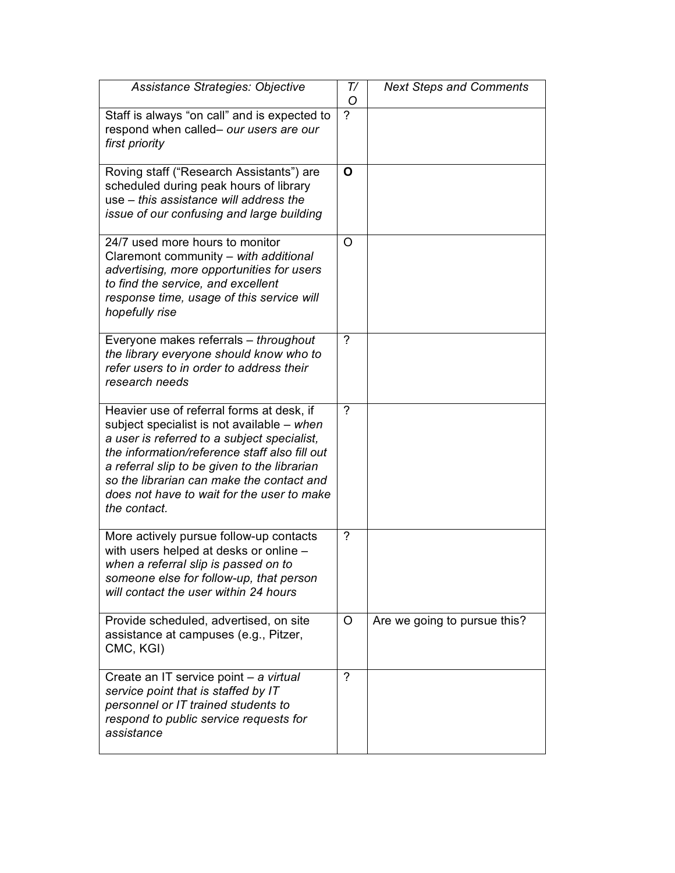| Assistance Strategies: Objective                                                                                                                                                                                                                                                                                                                   | T/<br>O        | <b>Next Steps and Comments</b> |
|----------------------------------------------------------------------------------------------------------------------------------------------------------------------------------------------------------------------------------------------------------------------------------------------------------------------------------------------------|----------------|--------------------------------|
| Staff is always "on call" and is expected to<br>respond when called- our users are our<br>first priority                                                                                                                                                                                                                                           | $\overline{2}$ |                                |
| Roving staff ("Research Assistants") are<br>scheduled during peak hours of library<br>use – this assistance will address the<br>issue of our confusing and large building                                                                                                                                                                          | O              |                                |
| 24/7 used more hours to monitor<br>Claremont community - with additional<br>advertising, more opportunities for users<br>to find the service, and excellent<br>response time, usage of this service will<br>hopefully rise                                                                                                                         | O              |                                |
| Everyone makes referrals - throughout<br>the library everyone should know who to<br>refer users to in order to address their<br>research needs                                                                                                                                                                                                     | $\gamma$       |                                |
| Heavier use of referral forms at desk, if<br>subject specialist is not available - when<br>a user is referred to a subject specialist,<br>the information/reference staff also fill out<br>a referral slip to be given to the librarian<br>so the librarian can make the contact and<br>does not have to wait for the user to make<br>the contact. | ?              |                                |
| More actively pursue follow-up contacts<br>with users helped at desks or online -<br>when a referral slip is passed on to<br>someone else for follow-up, that person<br>will contact the user within 24 hours                                                                                                                                      | ?              |                                |
| Provide scheduled, advertised, on site<br>assistance at campuses (e.g., Pitzer,<br>CMC, KGI)                                                                                                                                                                                                                                                       | O              | Are we going to pursue this?   |
| Create an IT service point - a virtual<br>service point that is staffed by IT<br>personnel or IT trained students to<br>respond to public service requests for<br>assistance                                                                                                                                                                       | $\overline{?}$ |                                |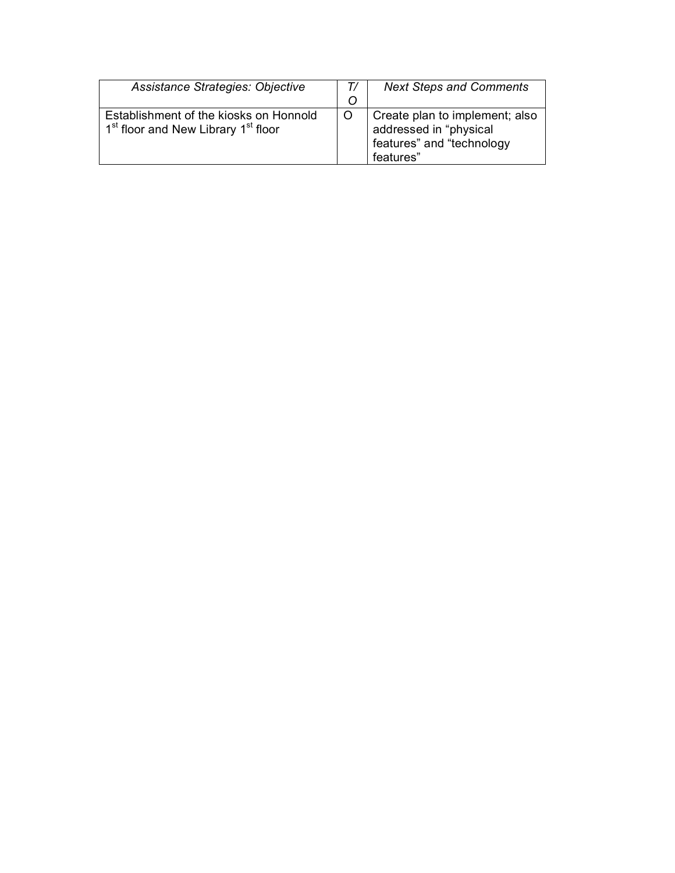| Assistance Strategies: Objective                                                                      | T/<br>O | <b>Next Steps and Comments</b>                                                                     |
|-------------------------------------------------------------------------------------------------------|---------|----------------------------------------------------------------------------------------------------|
| Establishment of the kiosks on Honnold<br>1 <sup>st</sup> floor and New Library 1 <sup>st</sup> floor |         | Create plan to implement; also<br>addressed in "physical<br>features" and "technology<br>features" |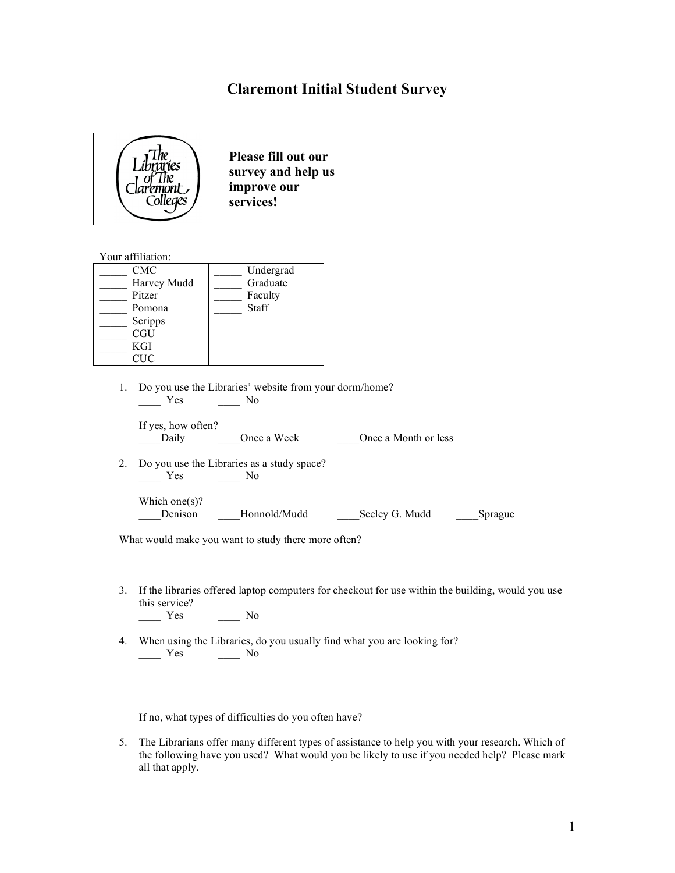## **Claremont Initial Student Survey**



Your affiliation:

| CMC         | Undergrad |
|-------------|-----------|
| Harvey Mudd | Graduate  |
| Pitzer      | Faculty   |
| Pomona      | Staff     |
| Scripps     |           |
| <b>CGU</b>  |           |
| KGI         |           |
| TIC         |           |

1. Do you use the Libraries' website from your dorm/home?  $\frac{1}{\sqrt{1-\frac{1}{c}}}$  Yes  $\frac{1}{\sqrt{1-\frac{1}{c}}}$  No

| If yes, how often? |             |                      |
|--------------------|-------------|----------------------|
| Daily              | Once a Week | Once a Month or less |

2. Do you use the Libraries as a study space? \_\_\_\_ Yes \_\_\_\_ No

| Which one(s)? |              |                |         |
|---------------|--------------|----------------|---------|
| Denison       | Honnold/Mudd | Seeley G. Mudd | Sprague |

What would make you want to study there more often?

3. If the libraries offered laptop computers for checkout for use within the building, would you use this service?

```
\frac{1}{\sqrt{1-\frac{1}{c}}} Yes \frac{1}{\sqrt{1-\frac{1}{c}}} No
```
4. When using the Libraries, do you usually find what you are looking for?  $Yes$  No

If no, what types of difficulties do you often have?

5. The Librarians offer many different types of assistance to help you with your research. Which of the following have you used? What would you be likely to use if you needed help? Please mark all that apply.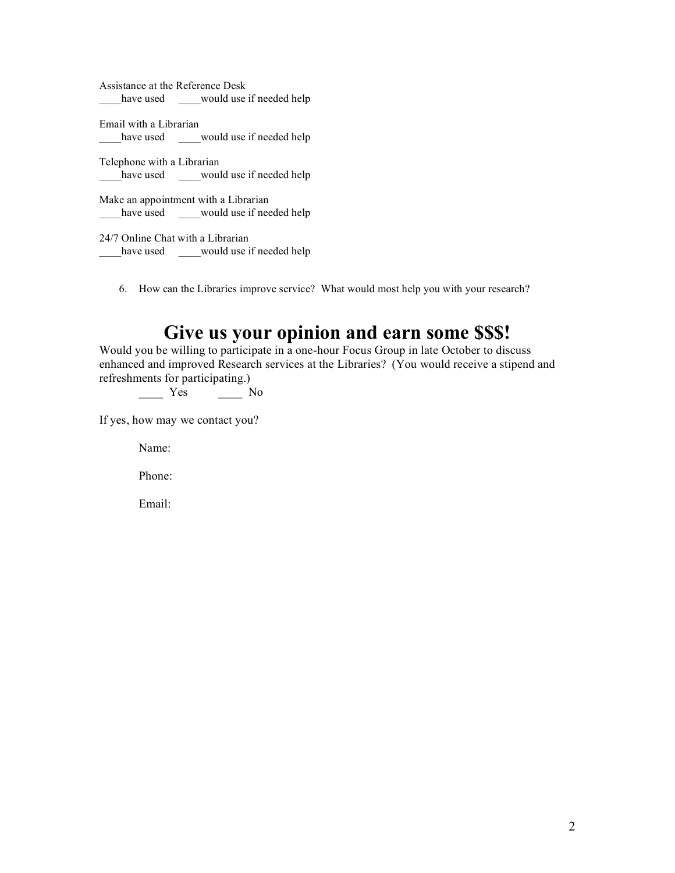Assistance at the Reference Desk have used \_\_\_would use if needed help

Email with a Librarian \_\_\_\_\_have used \_\_\_\_\_would use if needed help

Telephone with a Librarian have used \_\_\_would use if needed help

Make an appointment with a Librarian have used \_\_\_\_would use if needed help

24/7 Online Chat with a Librarian have used \_\_\_would use if needed help

6. How can the Libraries improve service? What would most help you with your research?

# **Give us your opinion and earn some \$\$\$!**

Would you be willing to participate in a one-hour Focus Group in late October to discuss enhanced and improved Research services at the Libraries? (You would receive a stipend and refreshments for participating.)<br>
Yes

 $\frac{1}{\sqrt{2}}$  No

If yes, how may we contact you?

Name:

Phone:

Email: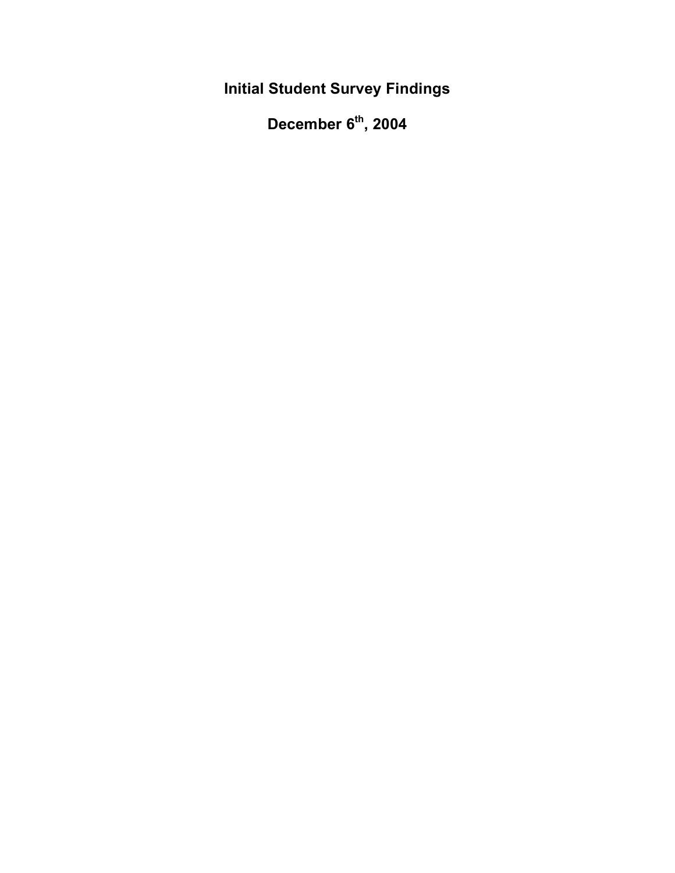**Initial Student Survey Findings**

**December 6th , 2004**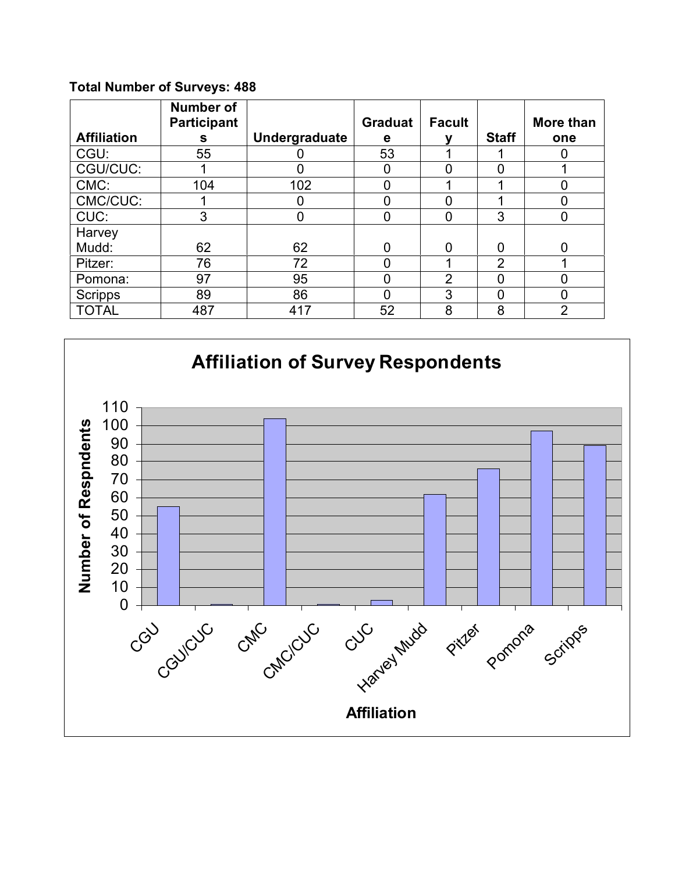## **Total Number of Surveys: 488**

|                    | <b>Number of</b><br>Participant |                      | <b>Graduat</b> | <b>Facult</b>  |                | More than      |
|--------------------|---------------------------------|----------------------|----------------|----------------|----------------|----------------|
| <b>Affiliation</b> | s                               | <b>Undergraduate</b> | e              |                | <b>Staff</b>   | one            |
| CGU:               | 55                              |                      | 53             |                |                |                |
| CGU/CUC:           |                                 |                      | O              |                |                |                |
| CMC:               | 104                             | 102                  | 0              |                |                |                |
| CMC/CUC:           |                                 |                      | 0              |                |                |                |
| CUC:               | 3                               |                      | 0              |                | 3              |                |
| Harvey             |                                 |                      |                |                |                |                |
| Mudd:              | 62                              | 62                   | 0              | O              | 0              | 0              |
| Pitzer:            | 76                              | 72                   | ი              |                | $\overline{2}$ |                |
| Pomona:            | 97                              | 95                   | 0              | $\overline{2}$ |                |                |
| <b>Scripps</b>     | 89                              | 86                   | ∩              | 3              | 0              |                |
| <b>TOTAL</b>       | 487                             | 417                  | 52             | 8              | 8              | $\overline{2}$ |

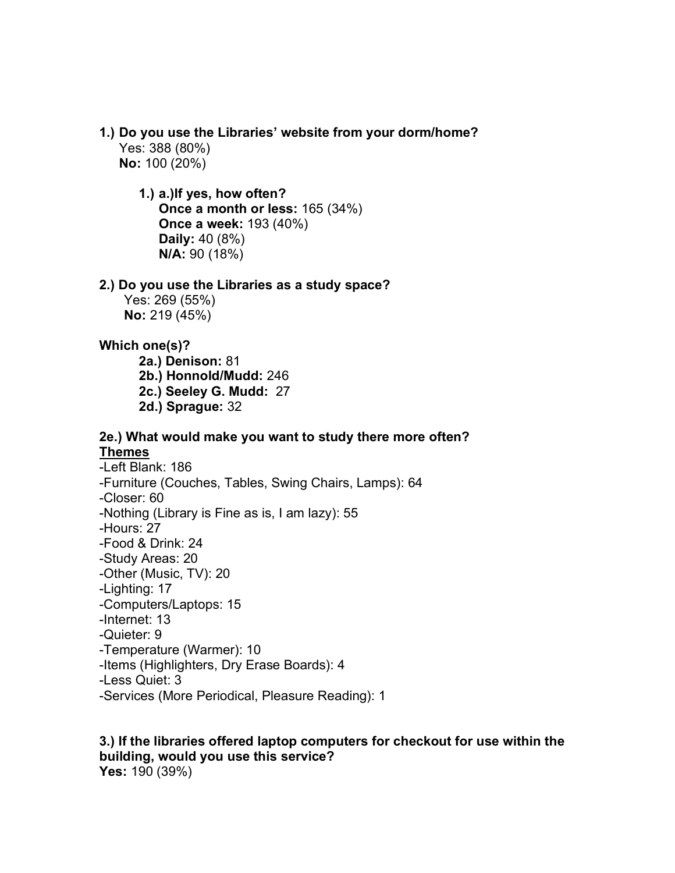**1.) Do you use the Libraries' website from your dorm/home?** Yes: 388 (80%)

**No:** 100 (20%)

## **1.) a.)If yes, how often? Once a month or less:** 165 (34%) **Once a week:** 193 (40%) **Daily:** 40 (8%) **N/A:** 90 (18%)

## **2.) Do you use the Libraries as a study space?**

Yes: 269 (55%) **No:** 219 (45%)

## **Which one(s)?**

**2a.) Denison:** 81 **2b.) Honnold/Mudd:** 246 **2c.) Seeley G. Mudd:** 27 **2d.) Sprague:** 32

## **2e.) What would make you want to study there more often? Themes**

-Left Blank: 186 -Furniture (Couches, Tables, Swing Chairs, Lamps): 64 -Closer: 60 -Nothing (Library is Fine as is, I am lazy): 55 -Hours: 27 -Food & Drink: 24 -Study Areas: 20 -Other (Music, TV): 20 -Lighting: 17 -Computers/Laptops: 15 -Internet: 13 -Quieter: 9 -Temperature (Warmer): 10 -Items (Highlighters, Dry Erase Boards): 4 -Less Quiet: 3 -Services (More Periodical, Pleasure Reading): 1

## **3.) If the libraries offered laptop computers for checkout for use within the building, would you use this service? Yes:** 190 (39%)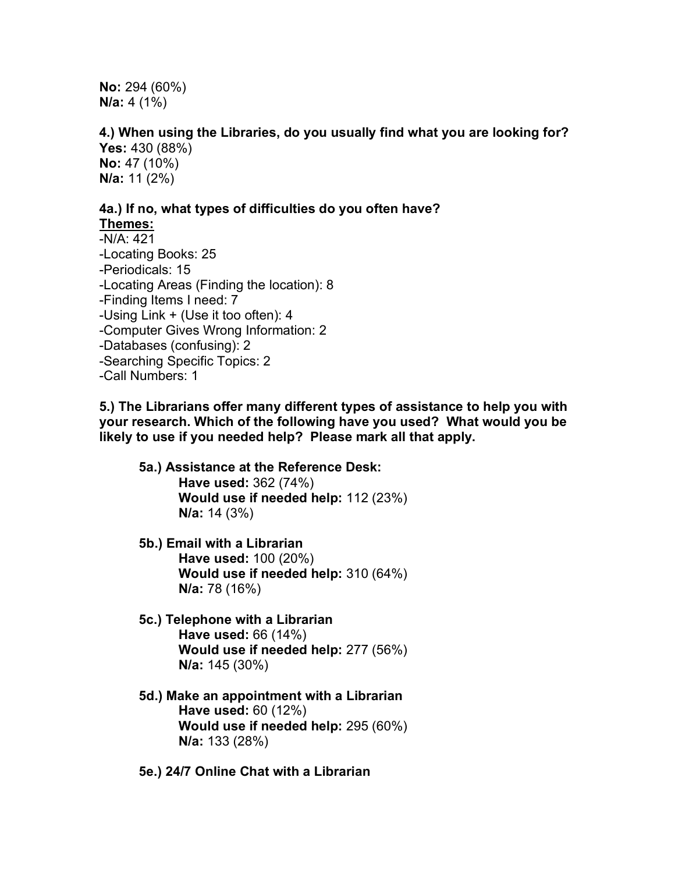**No:** 294 (60%) **N/a:** 4 (1%)

**4.) When using the Libraries, do you usually find what you are looking for? Yes:** 430 (88%)

**No:** 47 (10%) **N/a:** 11 (2%)

## **4a.) If no, what types of difficulties do you often have? Themes:**

-N/A: 421 -Locating Books: 25 -Periodicals: 15 -Locating Areas (Finding the location): 8 -Finding Items I need: 7 -Using Link + (Use it too often): 4 -Computer Gives Wrong Information: 2 -Databases (confusing): 2 -Searching Specific Topics: 2 -Call Numbers: 1

**5.) The Librarians offer many different types of assistance to help you with your research. Which of the following have you used? What would you be likely to use if you needed help? Please mark all that apply.**

- **5a.) Assistance at the Reference Desk: Have used:** 362 (74%) **Would use if needed help:** 112 (23%) **N/a:** 14 (3%)
- **5b.) Email with a Librarian Have used:** 100 (20%) **Would use if needed help:** 310 (64%) **N/a:** 78 (16%)
- **5c.) Telephone with a Librarian Have used:** 66 (14%) **Would use if needed help:** 277 (56%) **N/a:** 145 (30%)
- **5d.) Make an appointment with a Librarian Have used:** 60 (12%) **Would use if needed help:** 295 (60%) **N/a:** 133 (28%)
- **5e.) 24/7 Online Chat with a Librarian**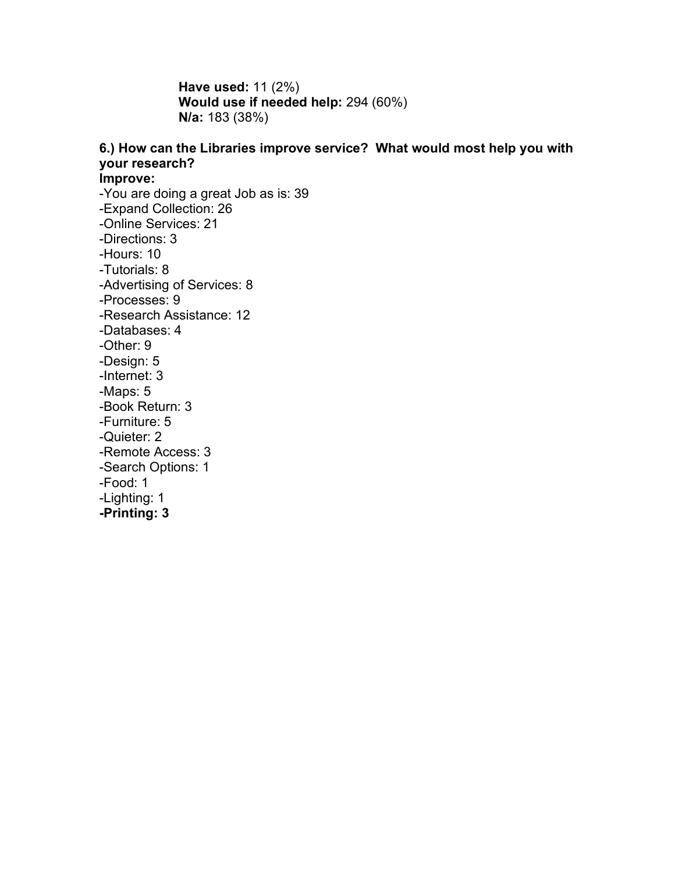**Have used:** 11 (2%) **Would use if needed help:** 294 (60%) **N/a:** 183 (38%)

## **6.) How can the Libraries improve service? What would most help you with your research?**

**Improve:**

-You are doing a great Job as is: 39 -Expand Collection: 26 -Online Services: 21 -Directions: 3 -Hours: 10 -Tutorials: 8 -Advertising of Services: 8 -Processes: 9 -Research Assistance: 12 -Databases: 4 -Other: 9 -Design: 5 -Internet: 3 -Maps: 5 -Book Return: 3 -Furniture: 5 -Quieter: 2 -Remote Access: 3 -Search Options: 1 -Food: 1 -Lighting: 1 **-Printing: 3**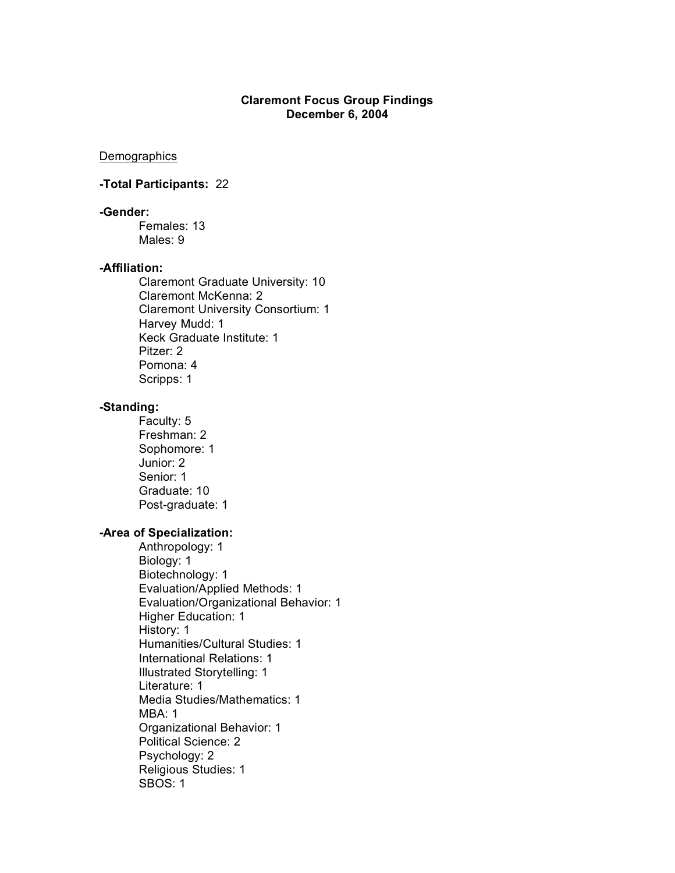### **Claremont Focus Group Findings December 6, 2004**

**Demographics** 

### **-Total Participants:** 22

## **-Gender:**

Females: 13 Males: 9

### **-Affiliation:**

Claremont Graduate University: 10 Claremont McKenna: 2 Claremont University Consortium: 1 Harvey Mudd: 1 Keck Graduate Institute: 1 Pitzer: 2 Pomona: 4 Scripps: 1

### **-Standing:**

Faculty: 5 Freshman: 2 Sophomore: 1 Junior: 2 Senior: 1 Graduate: 10 Post-graduate: 1

### **-Area of Specialization:**

Anthropology: 1 Biology: 1 Biotechnology: 1 Evaluation/Applied Methods: 1 Evaluation/Organizational Behavior: 1 Higher Education: 1 History: 1 Humanities/Cultural Studies: 1 International Relations: 1 Illustrated Storytelling: 1 Literature: 1 Media Studies/Mathematics: 1 MBA: 1 Organizational Behavior: 1 Political Science: 2 Psychology: 2 Religious Studies: 1 SBOS: 1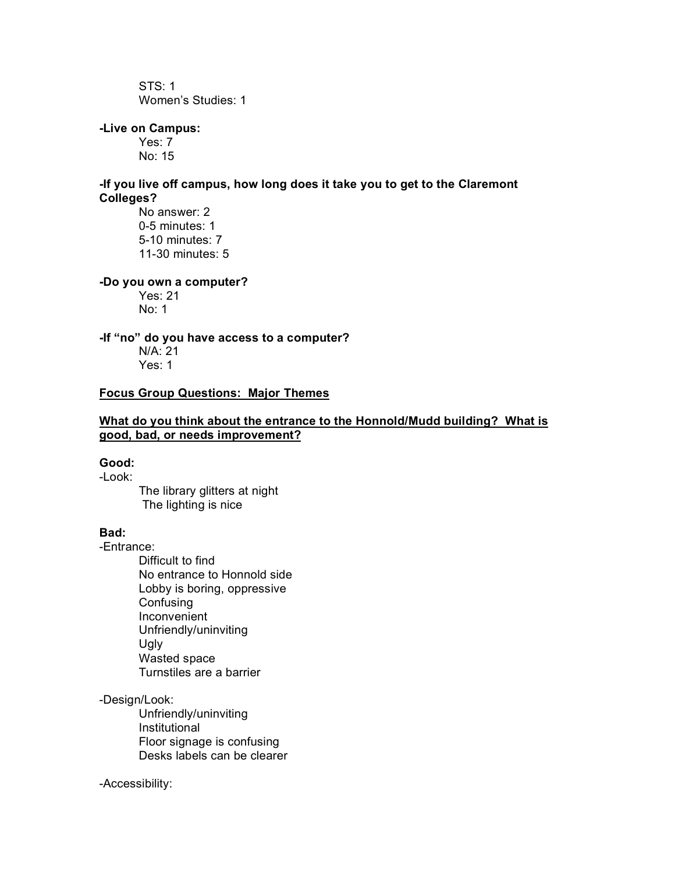STS: 1 Women's Studies: 1

## **-Live on Campus:**

Yes: 7 No: 15

### **-If you live off campus, how long does it take you to get to the Claremont Colleges?**

No answer: 2 0-5 minutes: 1 5-10 minutes: 7 11-30 minutes: 5

### **-Do you own a computer?**

Yes: 21 No: 1

### **-If "no" do you have access to a computer?**

N/A: 21 Yes: 1

### **Focus Group Questions: Major Themes**

### **What do you think about the entrance to the Honnold/Mudd building? What is good, bad, or needs improvement?**

### **Good:**

-Look:

The library glitters at night The lighting is nice

### **Bad:**

-Entrance:

Difficult to find No entrance to Honnold side Lobby is boring, oppressive **Confusing** Inconvenient Unfriendly/uninviting Ugly Wasted space Turnstiles are a barrier

### -Design/Look:

Unfriendly/uninviting Institutional Floor signage is confusing Desks labels can be clearer

### -Accessibility: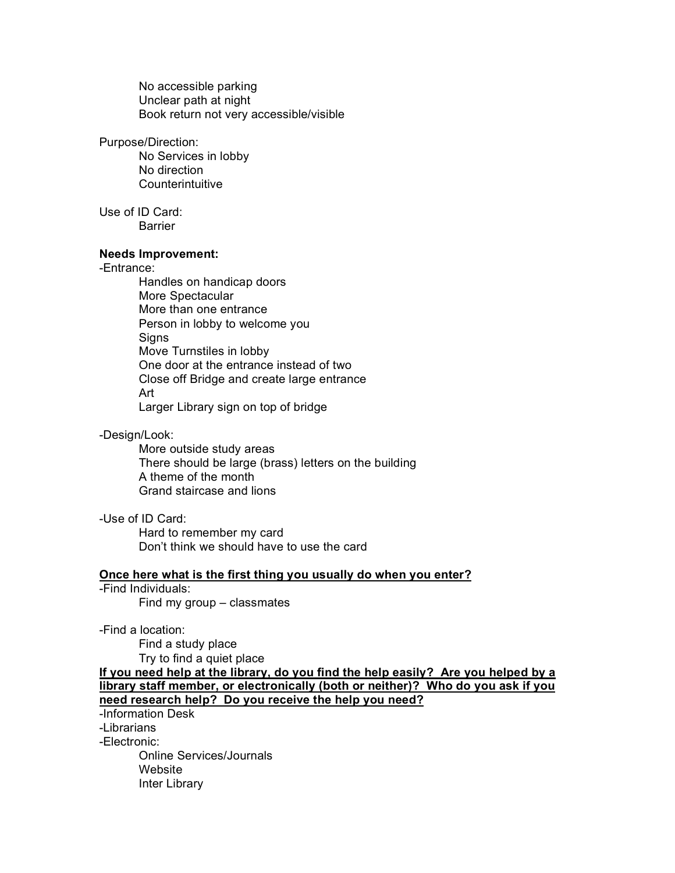No accessible parking Unclear path at night Book return not very accessible/visible

#### Purpose/Direction:

No Services in lobby No direction Counterintuitive

Use of ID Card: Barrier

### **Needs Improvement:**

### -Entrance:

Handles on handicap doors More Spectacular More than one entrance Person in lobby to welcome you **Signs** Move Turnstiles in lobby One door at the entrance instead of two Close off Bridge and create large entrance Art Larger Library sign on top of bridge

### -Design/Look:

More outside study areas There should be large (brass) letters on the building A theme of the month Grand staircase and lions

### -Use of ID Card:

Hard to remember my card Don't think we should have to use the card

### **Once here what is the first thing you usually do when you enter?**

-Find Individuals:

Find my group – classmates

-Find a location:

Find a study place Try to find a quiet place

**If you need help at the library, do you find the help easily? Are you helped by a library staff member, or electronically (both or neither)? Who do you ask if you need research help? Do you receive the help you need?**

-Information Desk

-Librarians

-Electronic:

Online Services/Journals Website Inter Library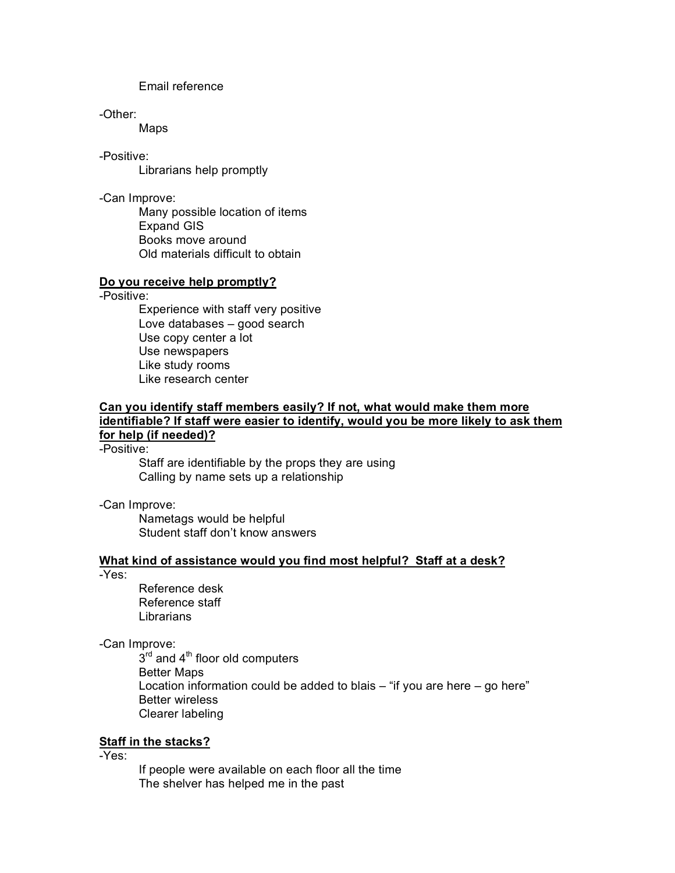Email reference

-Other:

Maps

-Positive:

Librarians help promptly

-Can Improve:

Many possible location of items Expand GIS Books move around Old materials difficult to obtain

### **Do you receive help promptly?**

-Positive:

Experience with staff very positive Love databases – good search Use copy center a lot Use newspapers Like study rooms Like research center

### **Can you identify staff members easily? If not, what would make them more identifiable? If staff were easier to identify, would you be more likely to ask them for help (if needed)?**

-Positive:

Staff are identifiable by the props they are using Calling by name sets up a relationship

-Can Improve:

Nametags would be helpful Student staff don't know answers

### **What kind of assistance would you find most helpful? Staff at a desk?**

-Yes:

Reference desk Reference staff Librarians

-Can Improve:

 $3<sup>rd</sup>$  and  $4<sup>th</sup>$  floor old computers Better Maps Location information could be added to blais  $-$  "if you are here  $-$  go here" Better wireless Clearer labeling

## **Staff in the stacks?**

-Yes:

If people were available on each floor all the time The shelver has helped me in the past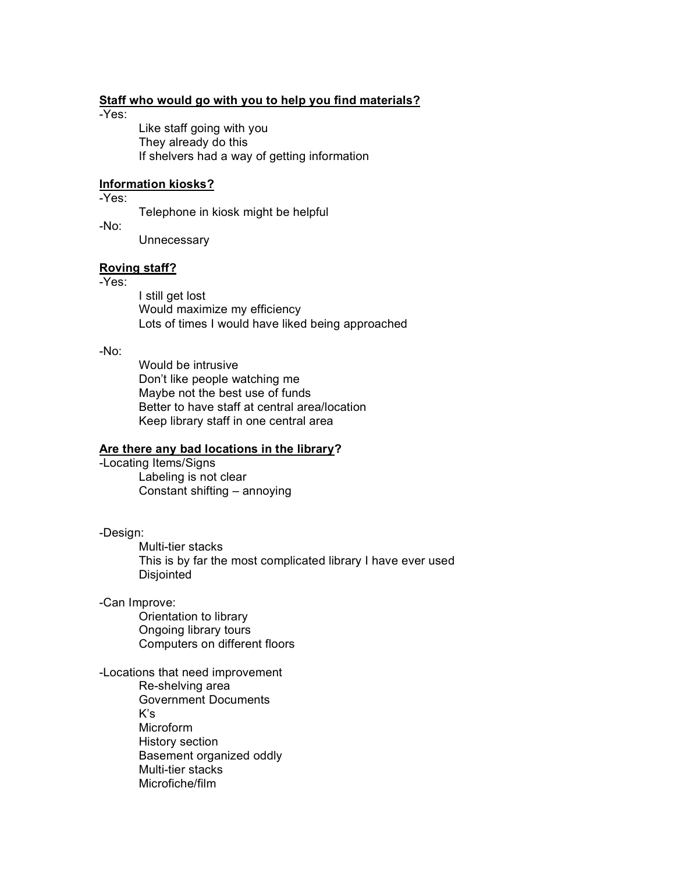### **Staff who would go with you to help you find materials?**

-Yes:

Like staff going with you They already do this If shelvers had a way of getting information

### **Information kiosks?**

-Yes:

Telephone in kiosk might be helpful

-No:

**Unnecessary** 

### **Roving staff?**

-Yes:

I still get lost Would maximize my efficiency Lots of times I would have liked being approached

-No:

Would be intrusive Don't like people watching me Maybe not the best use of funds Better to have staff at central area/location Keep library staff in one central area

## **Are there any bad locations in the library?**

-Locating Items/Signs Labeling is not clear Constant shifting – annoying

-Design:

Multi-tier stacks This is by far the most complicated library I have ever used Disjointed

### -Can Improve:

Orientation to library Ongoing library tours Computers on different floors

-Locations that need improvement

Re-shelving area Government Documents  $K's$ Microform History section Basement organized oddly Multi-tier stacks Microfiche/film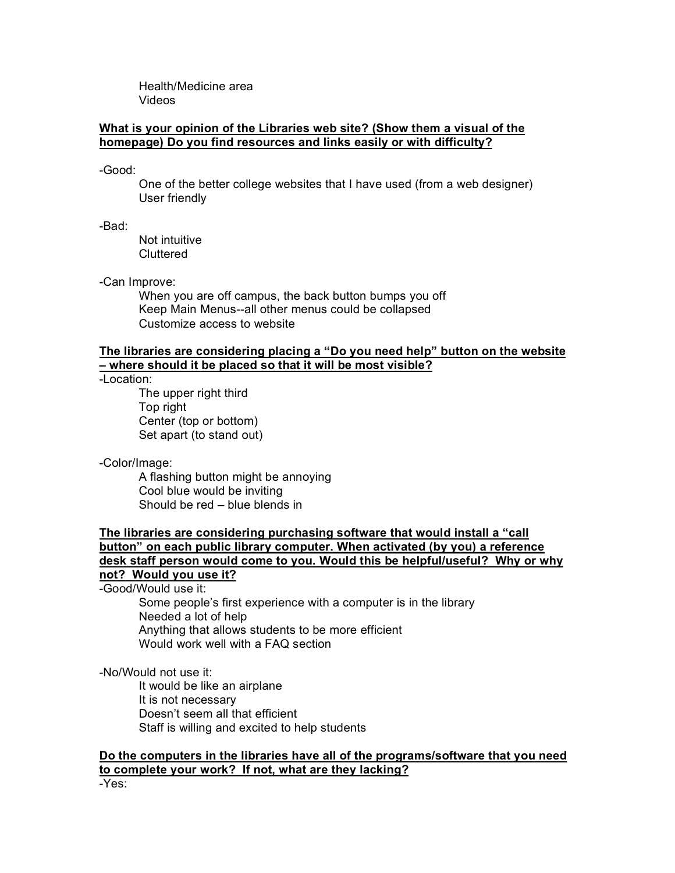Health/Medicine area Videos

### **What is your opinion of the Libraries web site? (Show them a visual of the homepage) Do you find resources and links easily or with difficulty?**

-Good:

One of the better college websites that I have used (from a web designer) User friendly

-Bad:

Not intuitive **Cluttered** 

-Can Improve:

When you are off campus, the back button bumps you off Keep Main Menus--all other menus could be collapsed Customize access to website

### **The libraries are considering placing a "Do you need help" button on the website – where should it be placed so that it will be most visible?**

-Location:

The upper right third Top right Center (top or bottom) Set apart (to stand out)

-Color/Image:

A flashing button might be annoying Cool blue would be inviting Should be red – blue blends in

### **The libraries are considering purchasing software that would install a "call button" on each public library computer. When activated (by you) a reference desk staff person would come to you. Would this be helpful/useful? Why or why not? Would you use it?**

-Good/Would use it:

Some people's first experience with a computer is in the library Needed a lot of help Anything that allows students to be more efficient Would work well with a FAQ section

-No/Would not use it:

It would be like an airplane It is not necessary Doesn't seem all that efficient Staff is willing and excited to help students

### **Do the computers in the libraries have all of the programs/software that you need to complete your work? If not, what are they lacking?**

-Yes: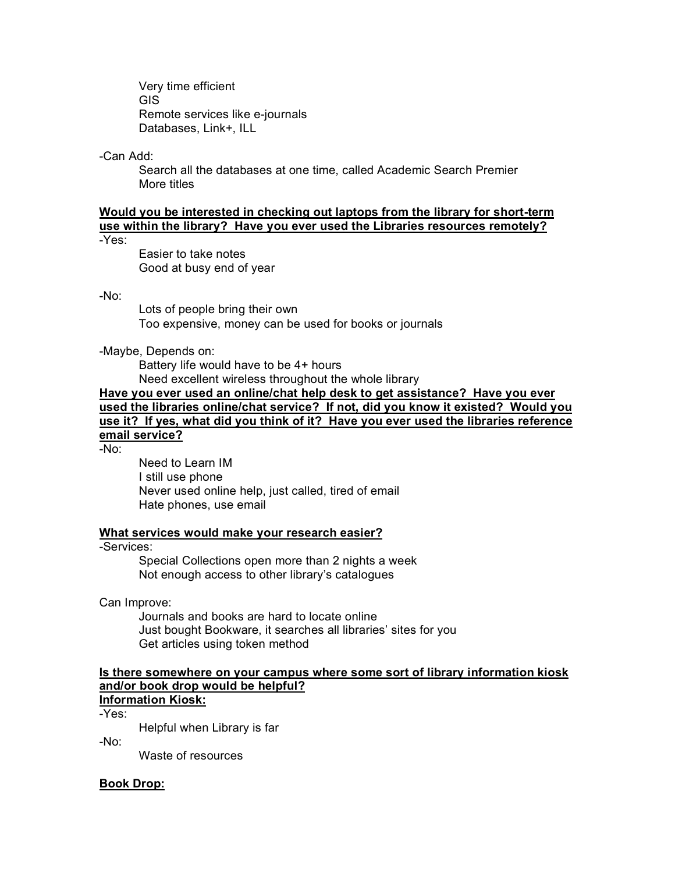Very time efficient GIS Remote services like e-journals Databases, Link+, ILL

-Can Add:

Search all the databases at one time, called Academic Search Premier More titles

## **Would you be interested in checking out laptops from the library for short-term use within the library? Have you ever used the Libraries resources remotely?**

-Yes:

Easier to take notes Good at busy end of year

### -No:

Lots of people bring their own Too expensive, money can be used for books or journals

### -Maybe, Depends on:

Battery life would have to be 4+ hours Need excellent wireless throughout the whole library

## **Have you ever used an online/chat help desk to get assistance? Have you ever used the libraries online/chat service? If not, did you know it existed? Would you use it? If yes, what did you think of it? Have you ever used the libraries reference email service?**

-No:

Need to Learn IM I still use phone Never used online help, just called, tired of email Hate phones, use email

### **What services would make your research easier?**

### -Services:

Special Collections open more than 2 nights a week Not enough access to other library's catalogues

Can Improve:

Journals and books are hard to locate online Just bought Bookware, it searches all libraries' sites for you Get articles using token method

### **Is there somewhere on your campus where some sort of library information kiosk and/or book drop would be helpful? Information Kiosk:**

-Yes:

Helpful when Library is far

-No:

Waste of resources

### **Book Drop:**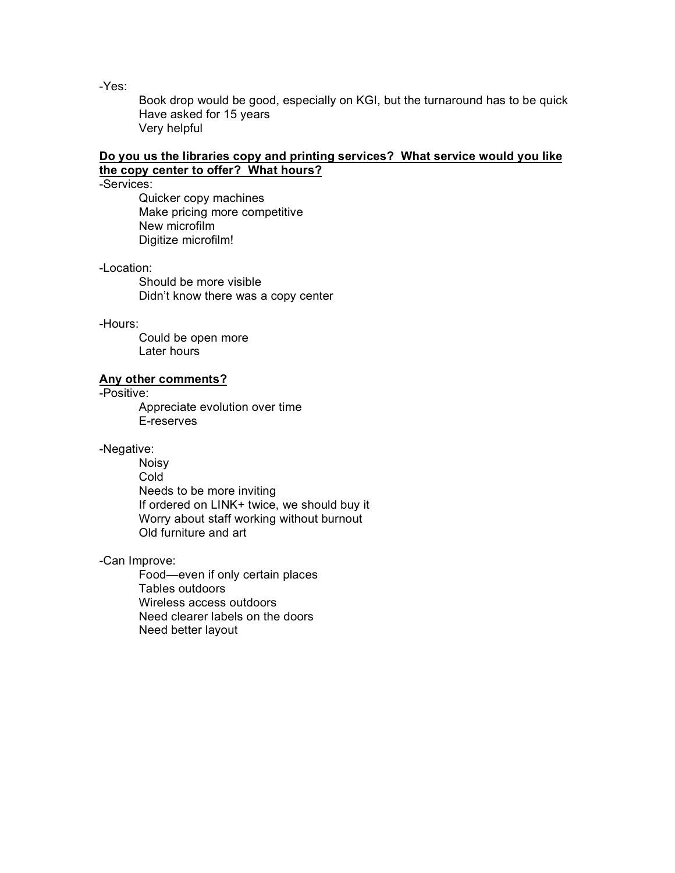-Yes:

Book drop would be good, especially on KGI, but the turnaround has to be quick Have asked for 15 years Very helpful

### **Do you us the libraries copy and printing services? What service would you like the copy center to offer? What hours?**

-Services:

Quicker copy machines Make pricing more competitive New microfilm Digitize microfilm!

### -Location:

Should be more visible Didn't know there was a copy center

### -Hours:

Could be open more Later hours

### **Any other comments?**

-Positive:

Appreciate evolution over time E-reserves

### -Negative:

Noisy **Cold** Needs to be more inviting If ordered on LINK+ twice, we should buy it Worry about staff working without burnout Old furniture and art

### -Can Improve:

Food—even if only certain places Tables outdoors Wireless access outdoors Need clearer labels on the doors Need better layout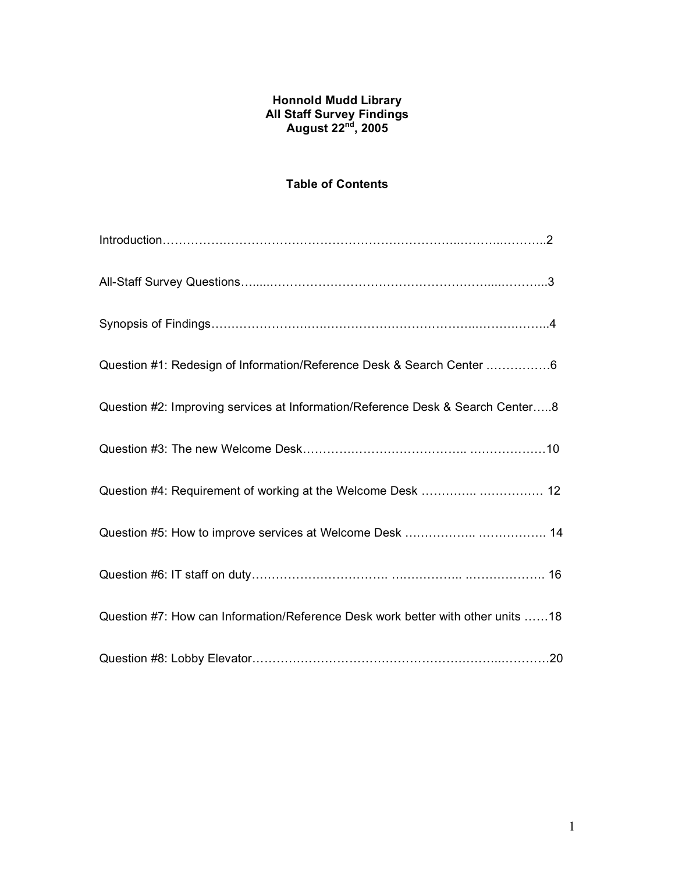## **Honnold Mudd Library All Staff Survey Findings August 22nd , 2005**

## **Table of Contents**

| Question #1: Redesign of Information/Reference Desk & Search Center 6           |
|---------------------------------------------------------------------------------|
| Question #2: Improving services at Information/Reference Desk & Search Center8  |
|                                                                                 |
| Question #4: Requirement of working at the Welcome Desk   12                    |
|                                                                                 |
|                                                                                 |
| Question #7: How can Information/Reference Desk work better with other units 18 |
|                                                                                 |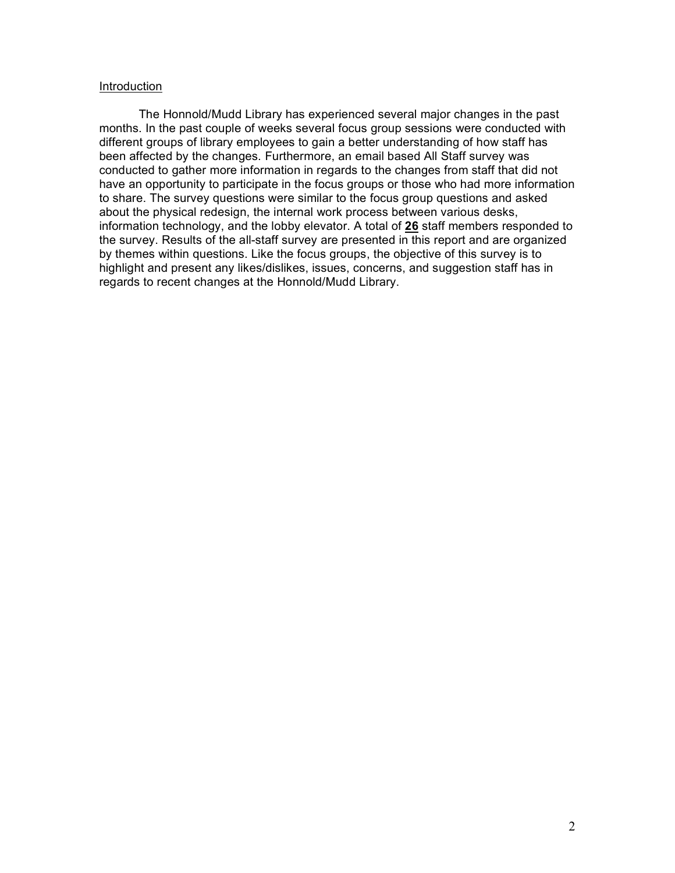### Introduction

The Honnold/Mudd Library has experienced several major changes in the past months. In the past couple of weeks several focus group sessions were conducted with different groups of library employees to gain a better understanding of how staff has been affected by the changes. Furthermore, an email based All Staff survey was conducted to gather more information in regards to the changes from staff that did not have an opportunity to participate in the focus groups or those who had more information to share. The survey questions were similar to the focus group questions and asked about the physical redesign, the internal work process between various desks, information technology, and the lobby elevator. A total of **26** staff members responded to the survey. Results of the all-staff survey are presented in this report and are organized by themes within questions. Like the focus groups, the objective of this survey is to highlight and present any likes/dislikes, issues, concerns, and suggestion staff has in regards to recent changes at the Honnold/Mudd Library.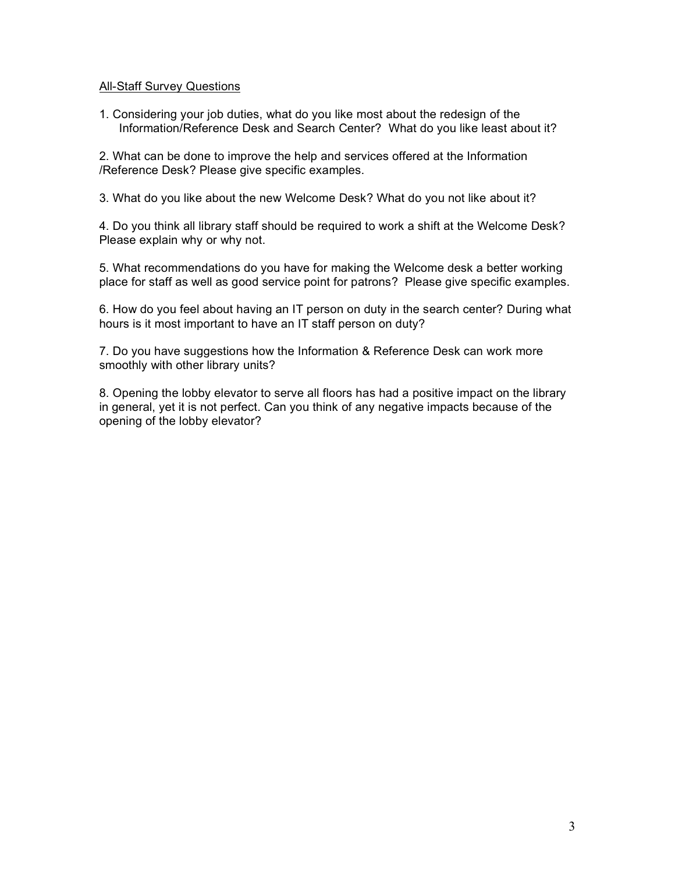### All-Staff Survey Questions

1. Considering your job duties, what do you like most about the redesign of the Information/Reference Desk and Search Center? What do you like least about it?

2. What can be done to improve the help and services offered at the Information /Reference Desk? Please give specific examples.

3. What do you like about the new Welcome Desk? What do you not like about it?

4. Do you think all library staff should be required to work a shift at the Welcome Desk? Please explain why or why not.

5. What recommendations do you have for making the Welcome desk a better working place for staff as well as good service point for patrons? Please give specific examples.

6. How do you feel about having an IT person on duty in the search center? During what hours is it most important to have an IT staff person on duty?

7. Do you have suggestions how the Information & Reference Desk can work more smoothly with other library units?

8. Opening the lobby elevator to serve all floors has had a positive impact on the library in general, yet it is not perfect. Can you think of any negative impacts because of the opening of the lobby elevator?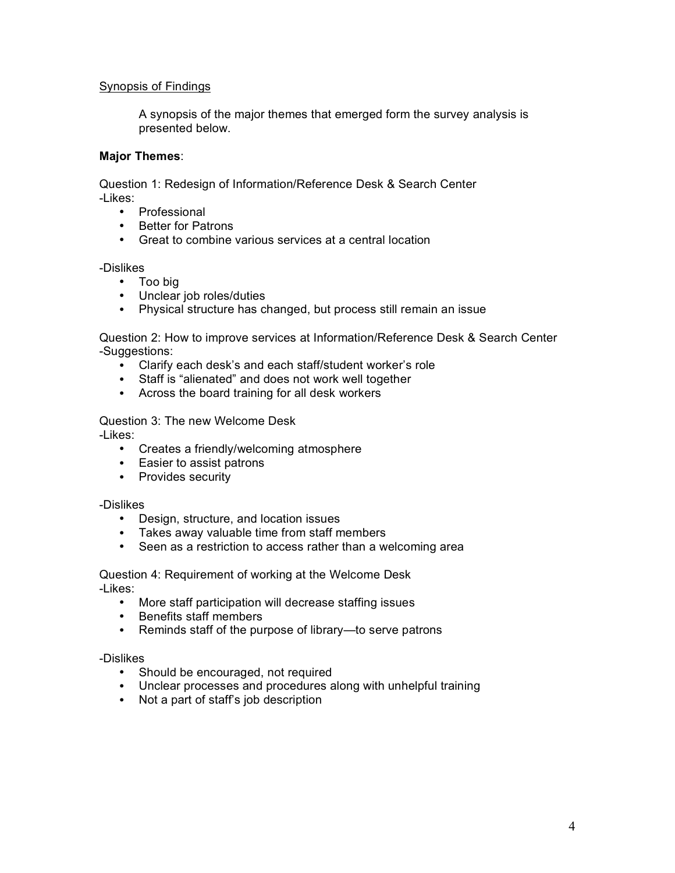## Synopsis of Findings

A synopsis of the major themes that emerged form the survey analysis is presented below.

### **Major Themes**:

Question 1: Redesign of Information/Reference Desk & Search Center -Likes:

- Professional
- Better for Patrons
- Great to combine various services at a central location

### -Dislikes

- Too big
- Unclear job roles/duties
- Physical structure has changed, but process still remain an issue

Question 2: How to improve services at Information/Reference Desk & Search Center -Suggestions:

- Clarify each desk's and each staff/student worker's role
- Staff is "alienated" and does not work well together
- Across the board training for all desk workers

Question 3: The new Welcome Desk

-Likes:

- Creates a friendly/welcoming atmosphere
- Easier to assist patrons
- Provides security

### -Dislikes

- Design, structure, and location issues
- Takes away valuable time from staff members
- Seen as a restriction to access rather than a welcoming area

Question 4: Requirement of working at the Welcome Desk -Likes:

- More staff participation will decrease staffing issues
- Benefits staff members
- Reminds staff of the purpose of library—to serve patrons

### -Dislikes

- Should be encouraged, not required
- Unclear processes and procedures along with unhelpful training
- Not a part of staff's job description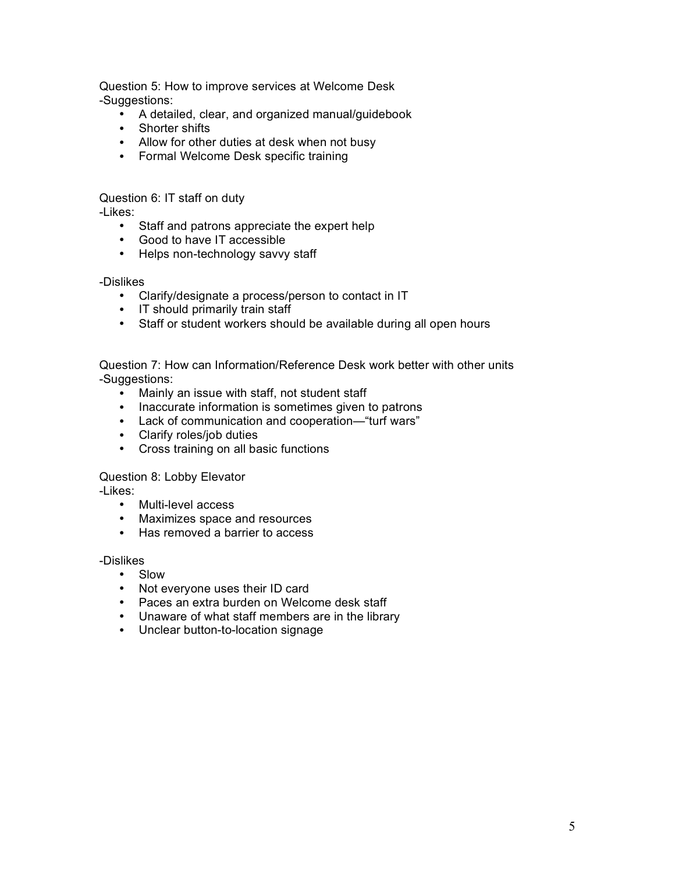Question 5: How to improve services at Welcome Desk -Suggestions:

- A detailed, clear, and organized manual/guidebook
- Shorter shifts
- Allow for other duties at desk when not busy
- Formal Welcome Desk specific training

Question 6: IT staff on duty -Likes:

- Staff and patrons appreciate the expert help
- Good to have IT accessible
- Helps non-technology savvy staff

-Dislikes

- Clarify/designate a process/person to contact in IT
- IT should primarily train staff
- Staff or student workers should be available during all open hours

Question 7: How can Information/Reference Desk work better with other units -Suggestions:

- Mainly an issue with staff, not student staff
- Inaccurate information is sometimes given to patrons
- Lack of communication and cooperation—"turf wars"
- Clarify roles/job duties
- Cross training on all basic functions

Question 8: Lobby Elevator

-Likes:

- Multi-level access
- Maximizes space and resources
- Has removed a barrier to access

-Dislikes

- Slow
- Not everyone uses their ID card
- Paces an extra burden on Welcome desk staff
- Unaware of what staff members are in the library
- Unclear button-to-location signage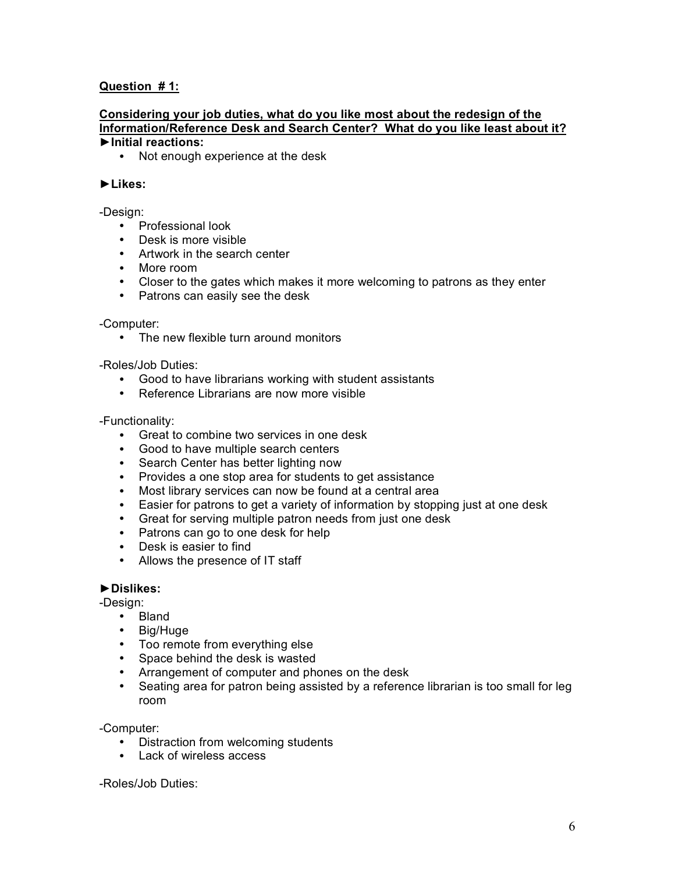## **Question # 1:**

### **Considering your job duties, what do you like most about the redesign of the Information/Reference Desk and Search Center? What do you like least about it? ►Initial reactions:**

• Not enough experience at the desk

### **►Likes:**

### -Design:

- Professional look
- Desk is more visible
- Artwork in the search center
- More room
- Closer to the gates which makes it more welcoming to patrons as they enter
- Patrons can easily see the desk

### -Computer:

• The new flexible turn around monitors

-Roles/Job Duties:

- Good to have librarians working with student assistants
- Reference Librarians are now more visible

### -Functionality:

- Great to combine two services in one desk
- Good to have multiple search centers
- Search Center has better lighting now
- Provides a one stop area for students to get assistance
- Most library services can now be found at a central area
- Easier for patrons to get a variety of information by stopping just at one desk
- Great for serving multiple patron needs from just one desk
- Patrons can go to one desk for help
- Desk is easier to find
- Allows the presence of IT staff

### **►Dislikes:**

-Design:

- Bland
- Big/Huge
- Too remote from everything else
- Space behind the desk is wasted
- Arrangement of computer and phones on the desk
- Seating area for patron being assisted by a reference librarian is too small for leg room

-Computer:

- Distraction from welcoming students
- Lack of wireless access

-Roles/Job Duties: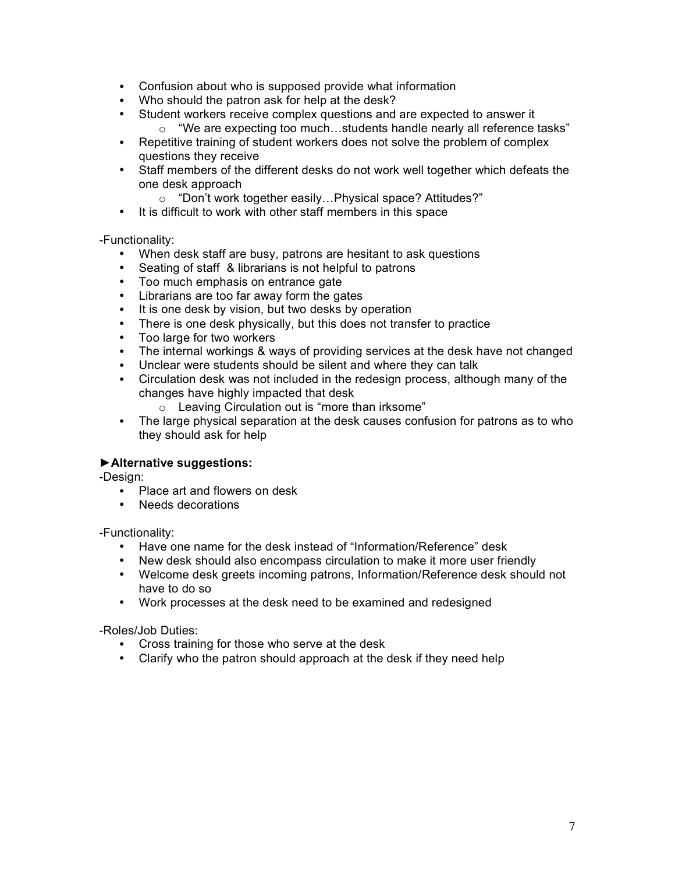- Confusion about who is supposed provide what information
- Who should the patron ask for help at the desk?
- Student workers receive complex questions and are expected to answer it
	- o "We are expecting too much…students handle nearly all reference tasks"
- Repetitive training of student workers does not solve the problem of complex questions they receive
- Staff members of the different desks do not work well together which defeats the one desk approach
	- o "Don't work together easily…Physical space? Attitudes?"
- It is difficult to work with other staff members in this space

-Functionality:

- When desk staff are busy, patrons are hesitant to ask questions
- Seating of staff & librarians is not helpful to patrons
- Too much emphasis on entrance gate
- Librarians are too far away form the gates
- It is one desk by vision, but two desks by operation
- There is one desk physically, but this does not transfer to practice
- Too large for two workers
- The internal workings & ways of providing services at the desk have not changed
- Unclear were students should be silent and where they can talk
- Circulation desk was not included in the redesign process, although many of the changes have highly impacted that desk
	- $\circ$  Leaving Circulation out is "more than irksome"
- The large physical separation at the desk causes confusion for patrons as to who they should ask for help

## **►Alternative suggestions:**

-Design:

- Place art and flowers on desk
- Needs decorations

-Functionality:

- Have one name for the desk instead of "Information/Reference" desk
- New desk should also encompass circulation to make it more user friendly
- Welcome desk greets incoming patrons, Information/Reference desk should not have to do so
- Work processes at the desk need to be examined and redesigned

-Roles/Job Duties:

- Cross training for those who serve at the desk
- Clarify who the patron should approach at the desk if they need help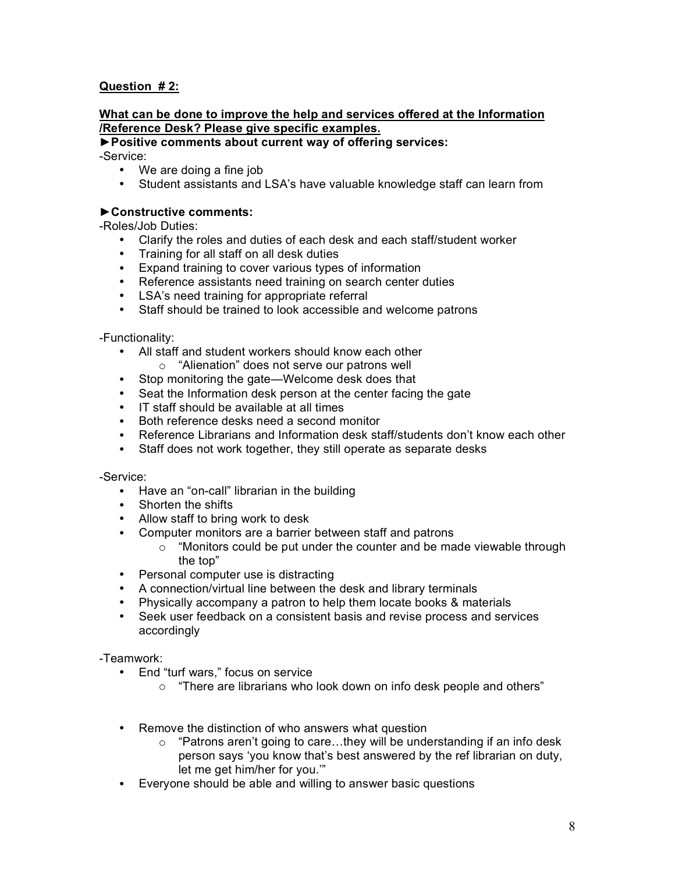## **Question # 2:**

### **What can be done to improve the help and services offered at the Information /Reference Desk? Please give specific examples.**

# **►Positive comments about current way of offering services:**

-Service:

- We are doing a fine job
- Student assistants and LSA's have valuable knowledge staff can learn from

## **►Constructive comments:**

-Roles/Job Duties:

- Clarify the roles and duties of each desk and each staff/student worker
- Training for all staff on all desk duties
- Expand training to cover various types of information
- Reference assistants need training on search center duties
- LSA's need training for appropriate referral
- Staff should be trained to look accessible and welcome patrons

-Functionality:

- All staff and student workers should know each other
	- o "Alienation" does not serve our patrons well
- Stop monitoring the gate—Welcome desk does that
- Seat the Information desk person at the center facing the gate
- IT staff should be available at all times
- Both reference desks need a second monitor
- Reference Librarians and Information desk staff/students don't know each other
- Staff does not work together, they still operate as separate desks

-Service:

- Have an "on-call" librarian in the building
- Shorten the shifts
- Allow staff to bring work to desk
- Computer monitors are a barrier between staff and patrons
	- o "Monitors could be put under the counter and be made viewable through the top"
- Personal computer use is distracting
- A connection/virtual line between the desk and library terminals
- Physically accompany a patron to help them locate books & materials
- Seek user feedback on a consistent basis and revise process and services accordingly

-Teamwork:

- End "turf wars," focus on service
	- o "There are librarians who look down on info desk people and others"
- Remove the distinction of who answers what question
	- o "Patrons aren't going to care…they will be understanding if an info desk person says 'you know that's best answered by the ref librarian on duty, let me get him/her for you.'"
- Everyone should be able and willing to answer basic questions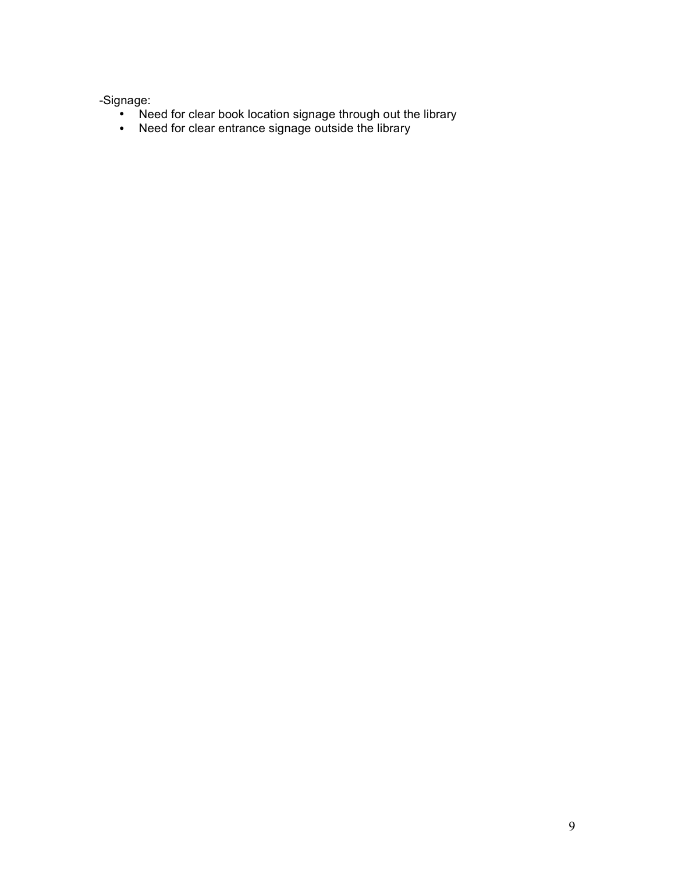-Signage:

- Need for clear book location signage through out the library
- Need for clear entrance signage outside the library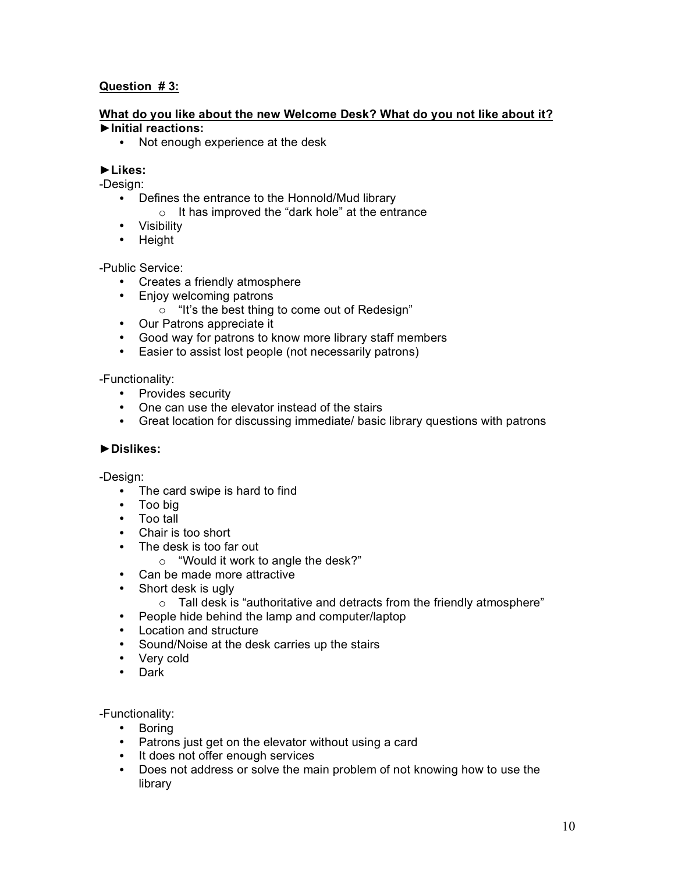## **Question # 3:**

### **What do you like about the new Welcome Desk? What do you not like about it? ►Initial reactions:**

• Not enough experience at the desk

## **►Likes:**

-Design:

- Defines the entrance to the Honnold/Mud library
	- o It has improved the "dark hole" at the entrance
- Visibility
- Height

-Public Service:

- Creates a friendly atmosphere
- Enjoy welcoming patrons
	- o "It's the best thing to come out of Redesign"
- Our Patrons appreciate it
- Good way for patrons to know more library staff members
- Easier to assist lost people (not necessarily patrons)

-Functionality:

- Provides security
- One can use the elevator instead of the stairs
- Great location for discussing immediate/ basic library questions with patrons

### **►Dislikes:**

-Design:

- The card swipe is hard to find
- Too big
- Too tall
- Chair is too short
- The desk is too far out
	- o "Would it work to angle the desk?"
- Can be made more attractive
- Short desk is ugly
	- o Tall desk is "authoritative and detracts from the friendly atmosphere"
- People hide behind the lamp and computer/laptop
- Location and structure
- Sound/Noise at the desk carries up the stairs
- Very cold
- Dark

-Functionality:

- Boring
- Patrons just get on the elevator without using a card
- It does not offer enough services
- Does not address or solve the main problem of not knowing how to use the library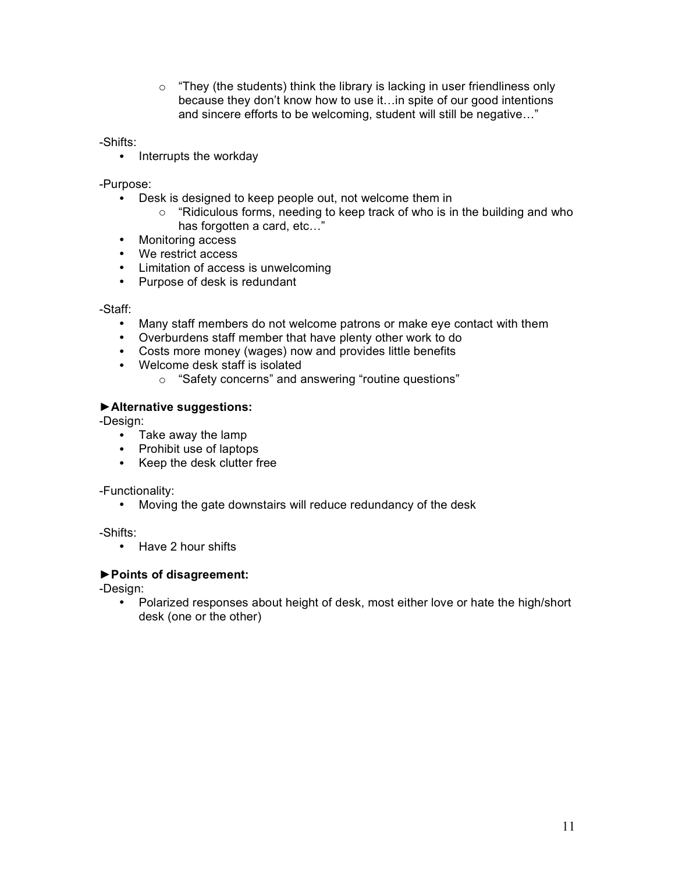$\circ$  "They (the students) think the library is lacking in user friendliness only because they don't know how to use it…in spite of our good intentions and sincere efforts to be welcoming, student will still be negative…"

-Shifts:

• Interrupts the workday

-Purpose:

- Desk is designed to keep people out, not welcome them in
	- o "Ridiculous forms, needing to keep track of who is in the building and who has forgotten a card, etc…"
- Monitoring access
- We restrict access
- Limitation of access is unwelcoming
- Purpose of desk is redundant

-Staff:

- Many staff members do not welcome patrons or make eye contact with them
- Overburdens staff member that have plenty other work to do
- Costs more money (wages) now and provides little benefits
- Welcome desk staff is isolated
	- o "Safety concerns" and answering "routine questions"

## **►Alternative suggestions:**

-Design:

- Take away the lamp
- Prohibit use of laptops
- Keep the desk clutter free

-Functionality:

• Moving the gate downstairs will reduce redundancy of the desk

-Shifts:

• Have 2 hour shifts

### **►Points of disagreement:**

-Design:

• Polarized responses about height of desk, most either love or hate the high/short desk (one or the other)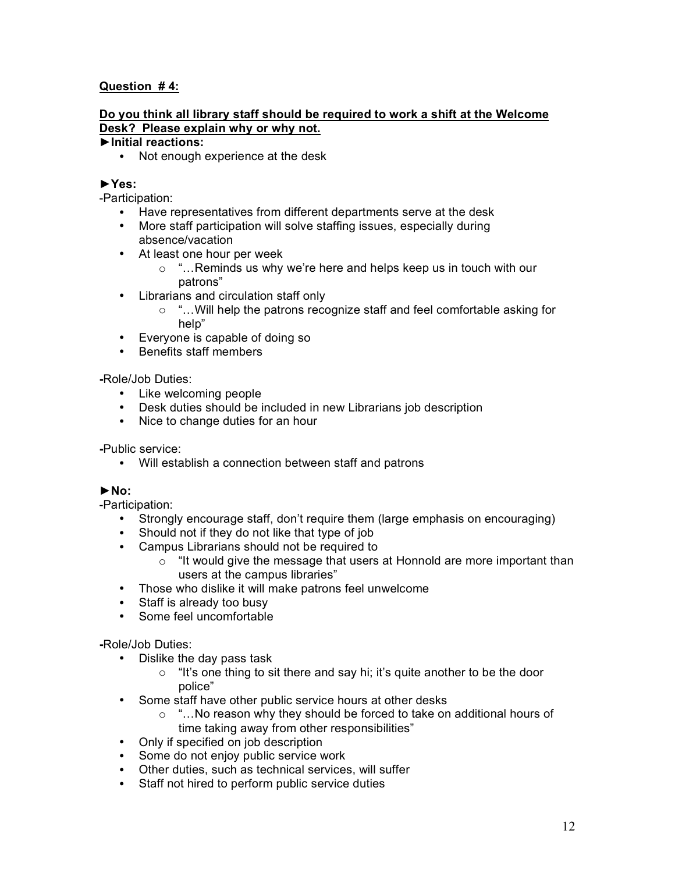## **Question # 4:**

## **Do you think all library staff should be required to work a shift at the Welcome Desk? Please explain why or why not.**

## **►Initial reactions:**

• Not enough experience at the desk

### **►Yes:**

-Participation:

- Have representatives from different departments serve at the desk
- More staff participation will solve staffing issues, especially during absence/vacation
- At least one hour per week
	- o "…Reminds us why we're here and helps keep us in touch with our patrons"
- Librarians and circulation staff only
	- o "…Will help the patrons recognize staff and feel comfortable asking for help"
- Everyone is capable of doing so
- Benefits staff members

### **-**Role/Job Duties:

- Like welcoming people
- Desk duties should be included in new Librarians job description
- Nice to change duties for an hour

**-**Public service:

• Will establish a connection between staff and patrons

## **►No:**

-Participation:

- Strongly encourage staff, don't require them (large emphasis on encouraging)
- Should not if they do not like that type of job
- Campus Librarians should not be required to
	- $\circ$  "It would give the message that users at Honnold are more important than users at the campus libraries"
- Those who dislike it will make patrons feel unwelcome
- Staff is already too busy
- Some feel uncomfortable

### **-**Role/Job Duties:

- Dislike the day pass task
	- $\circ$  "It's one thing to sit there and say hi; it's quite another to be the door police"
- Some staff have other public service hours at other desks
	- o "…No reason why they should be forced to take on additional hours of time taking away from other responsibilities"
- Only if specified on job description
- Some do not enjoy public service work
- Other duties, such as technical services, will suffer
- Staff not hired to perform public service duties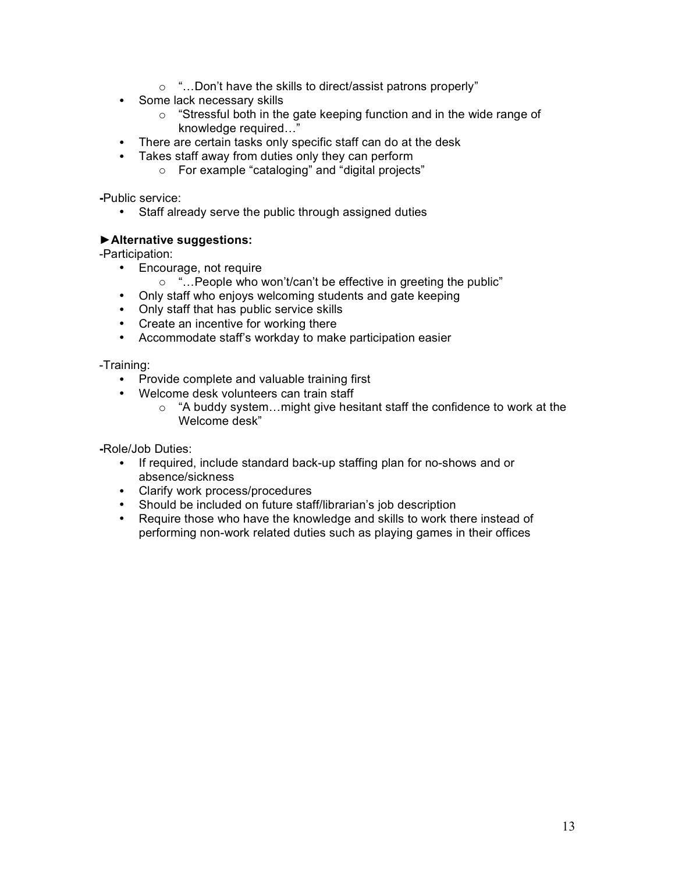- o "…Don't have the skills to direct/assist patrons properly"
- Some lack necessary skills
	- o "Stressful both in the gate keeping function and in the wide range of knowledge required…"
- There are certain tasks only specific staff can do at the desk
- Takes staff away from duties only they can perform
	- o For example "cataloging" and "digital projects"

**-**Public service:

• Staff already serve the public through assigned duties

## **►Alternative suggestions:**

-Participation:

- Encourage, not require
	- o "…People who won't/can't be effective in greeting the public"
- Only staff who enjoys welcoming students and gate keeping
- Only staff that has public service skills
- Create an incentive for working there
- Accommodate staff's workday to make participation easier

-Training:

- Provide complete and valuable training first
- Welcome desk volunteers can train staff
	- o "A buddy system…might give hesitant staff the confidence to work at the Welcome desk"

**-**Role/Job Duties:

- If required, include standard back-up staffing plan for no-shows and or absence/sickness
- Clarify work process/procedures
- Should be included on future staff/librarian's job description
- Require those who have the knowledge and skills to work there instead of performing non-work related duties such as playing games in their offices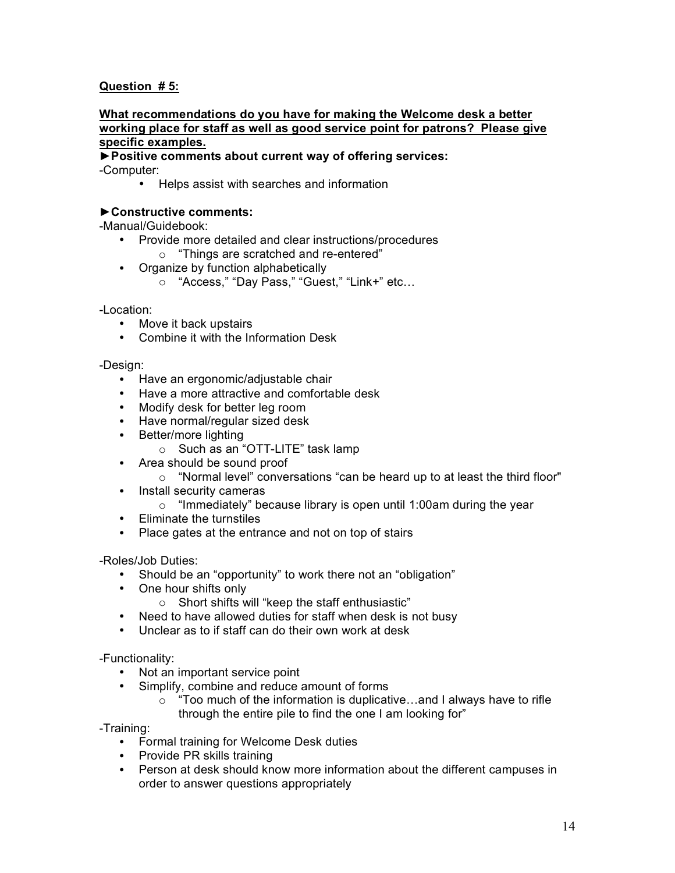## **Question # 5:**

### **What recommendations do you have for making the Welcome desk a better working place for staff as well as good service point for patrons? Please give specific examples.**

**►Positive comments about current way of offering services:** -Computer:

• Helps assist with searches and information

### **►Constructive comments:**

-Manual/Guidebook:

- Provide more detailed and clear instructions/procedures
	- o "Things are scratched and re-entered"
- Organize by function alphabetically
	- o "Access," "Day Pass," "Guest," "Link+" etc…

-Location:

- Move it back upstairs
- Combine it with the Information Desk

-Design:

- Have an ergonomic/adjustable chair
- Have a more attractive and comfortable desk
- Modify desk for better leg room
- Have normal/regular sized desk
- Better/more lighting
	- o Such as an "OTT-LITE" task lamp
- Area should be sound proof
	- o "Normal level" conversations "can be heard up to at least the third floor"
- Install security cameras
	- $\circ$  "Immediately" because library is open until 1:00am during the year
- Eliminate the turnstiles
- Place gates at the entrance and not on top of stairs

-Roles/Job Duties:

- Should be an "opportunity" to work there not an "obligation"
- One hour shifts only
	- o Short shifts will "keep the staff enthusiastic"
- Need to have allowed duties for staff when desk is not busy
- Unclear as to if staff can do their own work at desk

-Functionality:

- Not an important service point
- Simplify, combine and reduce amount of forms
	- $\circ$  "Too much of the information is duplicative...and I always have to rifle through the entire pile to find the one I am looking for"

-Training:

- Formal training for Welcome Desk duties
- Provide PR skills training
- Person at desk should know more information about the different campuses in order to answer questions appropriately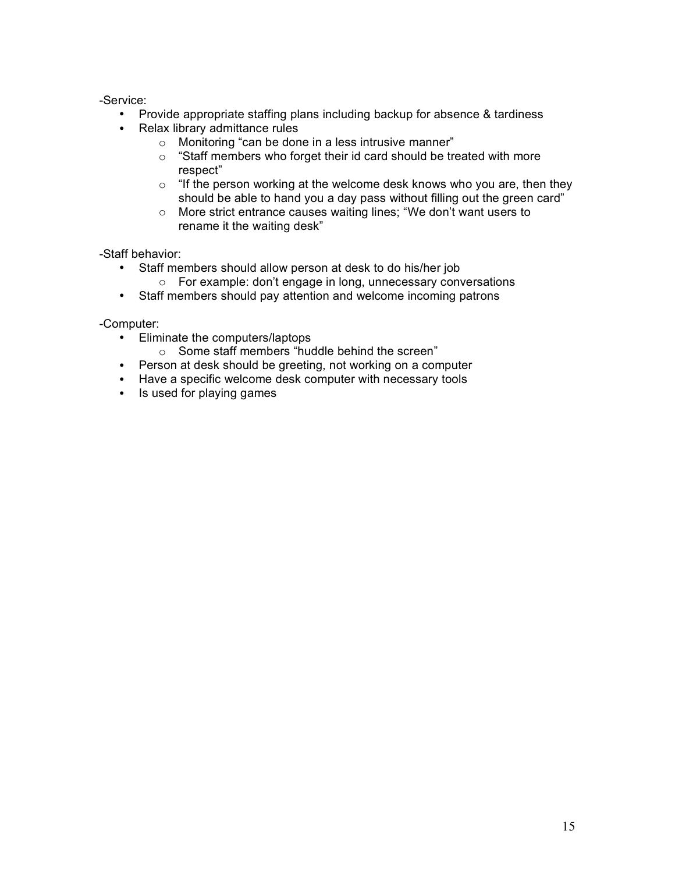## -Service:

- Provide appropriate staffing plans including backup for absence & tardiness
- Relax library admittance rules
	- o Monitoring "can be done in a less intrusive manner"
	- o "Staff members who forget their id card should be treated with more respect"
	- $\circ$  "If the person working at the welcome desk knows who you are, then they should be able to hand you a day pass without filling out the green card"
	- o More strict entrance causes waiting lines; "We don't want users to rename it the waiting desk"

-Staff behavior:

- Staff members should allow person at desk to do his/her job
	- o For example: don't engage in long, unnecessary conversations
- Staff members should pay attention and welcome incoming patrons

-Computer:

- Eliminate the computers/laptops
	- o Some staff members "huddle behind the screen"
- Person at desk should be greeting, not working on a computer
- Have a specific welcome desk computer with necessary tools
- Is used for playing games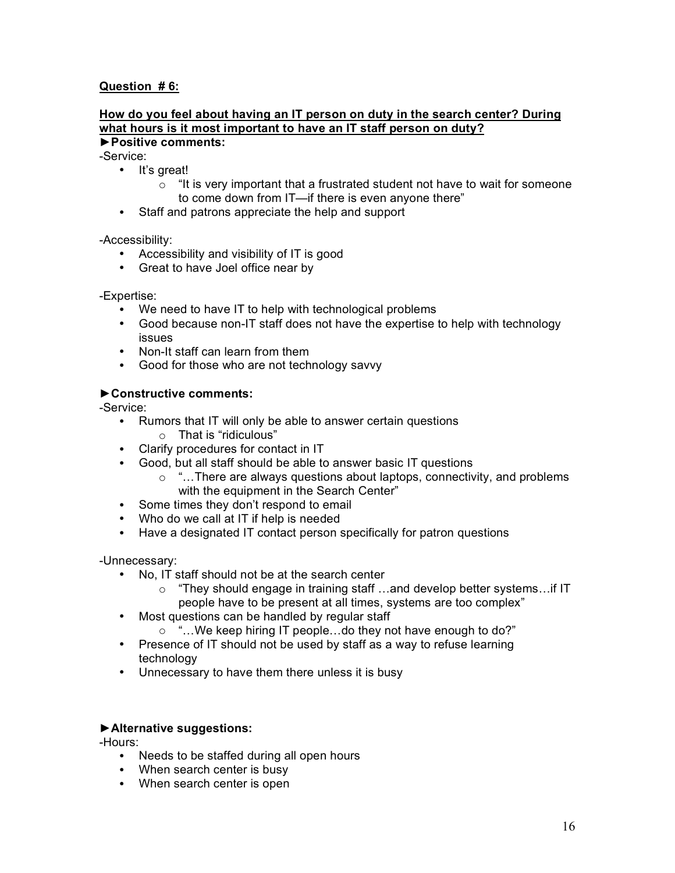## **Question # 6:**

## **How do you feel about having an IT person on duty in the search center? During what hours is it most important to have an IT staff person on duty?**

## **►Positive comments:**

-Service:

- It's great!
	- $\circ$  "It is very important that a frustrated student not have to wait for someone to come down from IT—if there is even anyone there"
- Staff and patrons appreciate the help and support

-Accessibility:

- Accessibility and visibility of IT is good
- Great to have Joel office near by

### -Expertise:

- We need to have IT to help with technological problems
- Good because non-IT staff does not have the expertise to help with technology issues
- Non-It staff can learn from them
- Good for those who are not technology savvy

## **►Constructive comments:**

-Service:

- Rumors that IT will only be able to answer certain questions o That is "ridiculous"
- Clarify procedures for contact in IT
- Good, but all staff should be able to answer basic IT questions
	- o "…There are always questions about laptops, connectivity, and problems with the equipment in the Search Center"
- Some times they don't respond to email
- Who do we call at IT if help is needed
- Have a designated IT contact person specifically for patron questions

-Unnecessary:

- No, IT staff should not be at the search center
	- o "They should engage in training staff …and develop better systems…if IT
	- people have to be present at all times, systems are too complex"
- Most questions can be handled by regular staff
	- o "…We keep hiring IT people…do they not have enough to do?"
- Presence of IT should not be used by staff as a way to refuse learning technology
- Unnecessary to have them there unless it is busy

### **►Alternative suggestions:**

-Hours:

- Needs to be staffed during all open hours
- When search center is busy
- When search center is open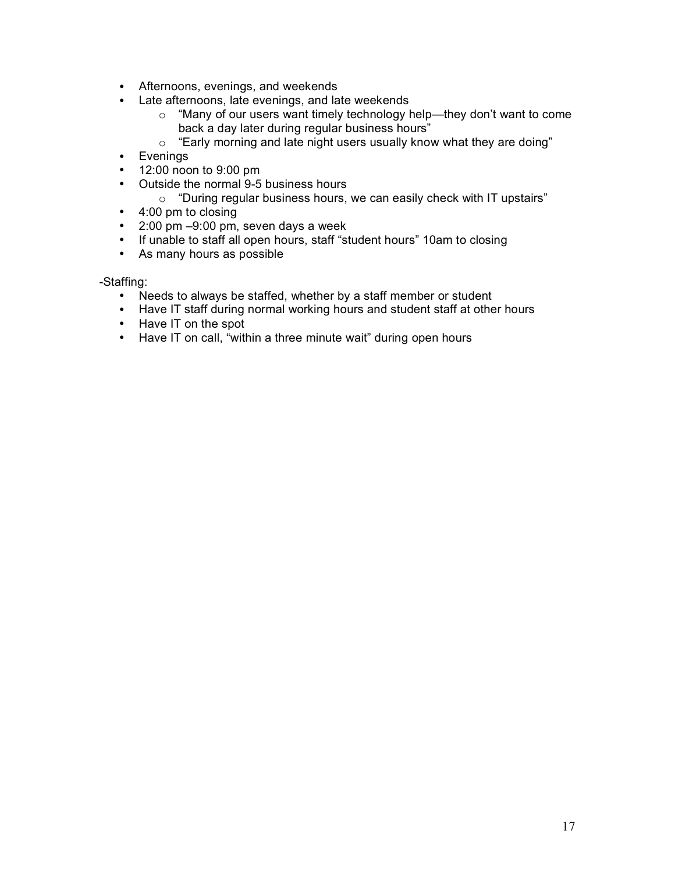- Afternoons, evenings, and weekends
- Late afternoons, late evenings, and late weekends  $\circ$  "Many of our users want timely technology h
	- "Many of our users want timely technology help—they don't want to come back a day later during regular business hours"
	- o "Early morning and late night users usually know what they are doing"
- Evenings
- 12:00 noon to 9:00 pm
- Outside the normal 9-5 business hours
	- $\circ$  "During regular business hours, we can easily check with IT upstairs"
- 4:00 pm to closing
- 2:00 pm –9:00 pm, seven days a week
- If unable to staff all open hours, staff "student hours" 10am to closing
- As many hours as possible

-Staffing:

- Needs to always be staffed, whether by a staff member or student
- Have IT staff during normal working hours and student staff at other hours
- Have IT on the spot
- Have IT on call, "within a three minute wait" during open hours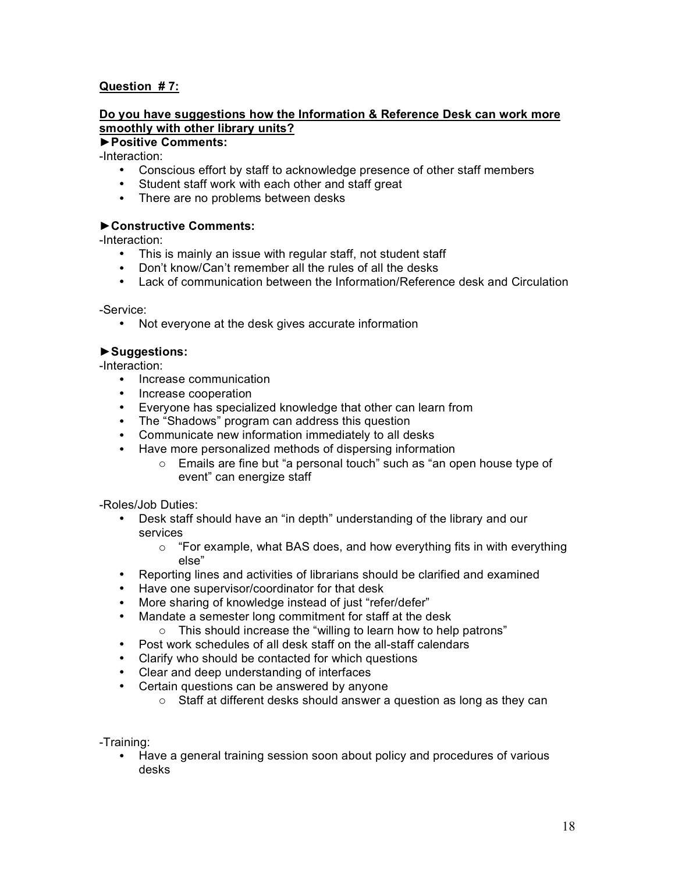## **Question # 7:**

## **Do you have suggestions how the Information & Reference Desk can work more smoothly with other library units?**

## **►Positive Comments:**

-Interaction:

- Conscious effort by staff to acknowledge presence of other staff members
- Student staff work with each other and staff great
- There are no problems between desks

## **►Constructive Comments:**

-Interaction:

- This is mainly an issue with regular staff, not student staff
- Don't know/Can't remember all the rules of all the desks
- Lack of communication between the Information/Reference desk and Circulation

-Service:

• Not everyone at the desk gives accurate information

## **►Suggestions:**

-Interaction:

- Increase communication
- Increase cooperation
- Everyone has specialized knowledge that other can learn from
- The "Shadows" program can address this question
- Communicate new information immediately to all desks
- Have more personalized methods of dispersing information
	- o Emails are fine but "a personal touch" such as "an open house type of event" can energize staff

-Roles/Job Duties:

- Desk staff should have an "in depth" understanding of the library and our services
	- o "For example, what BAS does, and how everything fits in with everything else"
- Reporting lines and activities of librarians should be clarified and examined
- Have one supervisor/coordinator for that desk
- More sharing of knowledge instead of just "refer/defer"
- Mandate a semester long commitment for staff at the desk
	- o This should increase the "willing to learn how to help patrons"
- Post work schedules of all desk staff on the all-staff calendars
- Clarify who should be contacted for which questions
- Clear and deep understanding of interfaces
- Certain questions can be answered by anyone
	- o Staff at different desks should answer a question as long as they can

-Training:

• Have a general training session soon about policy and procedures of various desks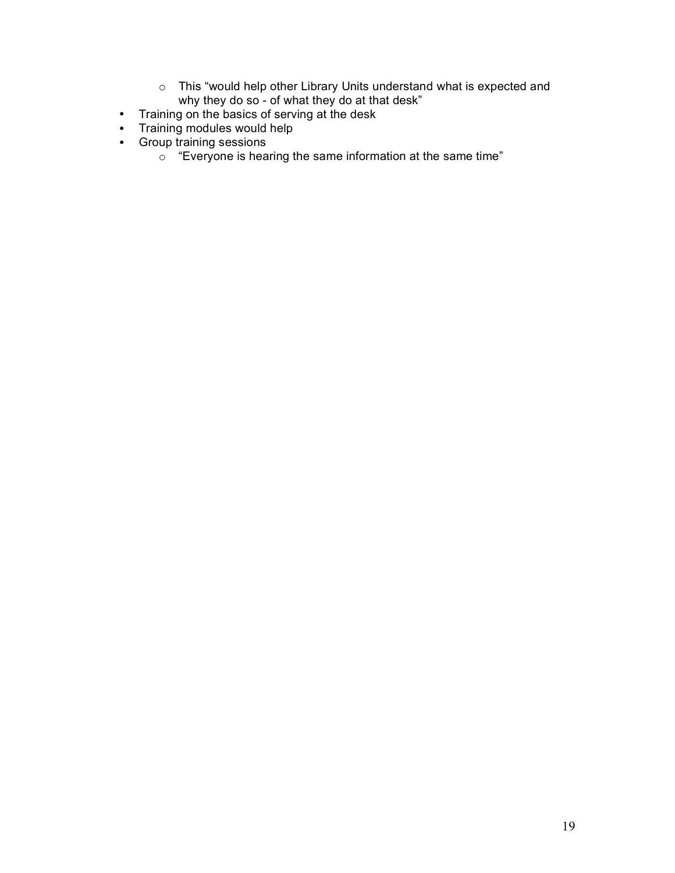- o This "would help other Library Units understand what is expected and why they do so - of what they do at that desk"
- Training on the basics of serving at the desk
- Training modules would help
- Group training sessions
	- $\circ$  "Everyone is hearing the same information at the same time"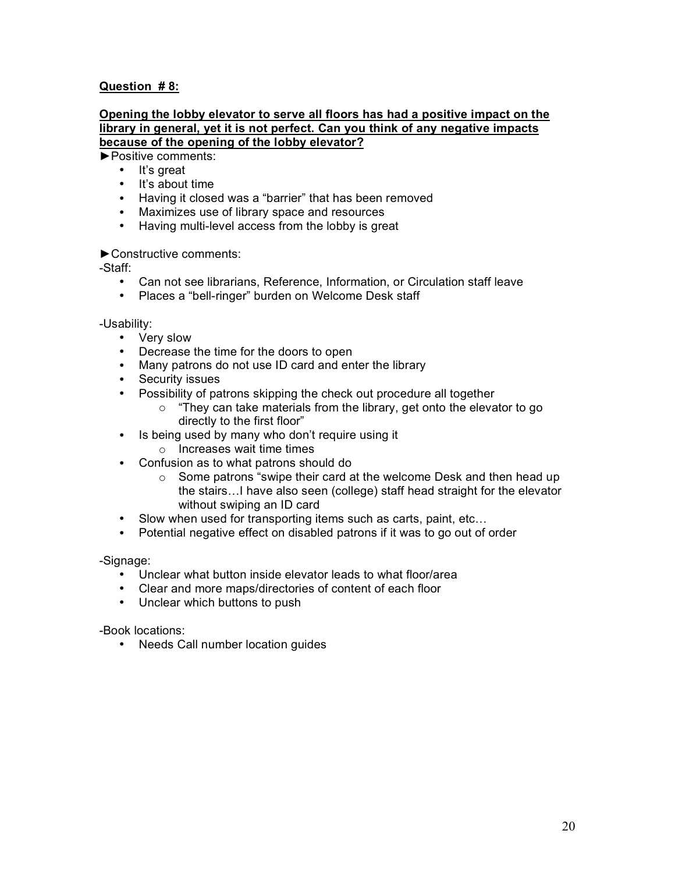## **Question # 8:**

### **Opening the lobby elevator to serve all floors has had a positive impact on the library in general, yet it is not perfect. Can you think of any negative impacts because of the opening of the lobby elevator?**

►Positive comments:

- It's great
- It's about time
- Having it closed was a "barrier" that has been removed
- Maximizes use of library space and resources
- Having multi-level access from the lobby is great

## ►Constructive comments:

-Staff:

- Can not see librarians, Reference, Information, or Circulation staff leave
- Places a "bell-ringer" burden on Welcome Desk staff

-Usability:

- Very slow
- Decrease the time for the doors to open
- Many patrons do not use ID card and enter the library
- Security issues
- Possibility of patrons skipping the check out procedure all together
	- o "They can take materials from the library, get onto the elevator to go directly to the first floor"
- Is being used by many who don't require using it
	- o Increases wait time times
- Confusion as to what patrons should do
	- o Some patrons "swipe their card at the welcome Desk and then head up the stairs…I have also seen (college) staff head straight for the elevator without swiping an ID card
- Slow when used for transporting items such as carts, paint, etc...
- Potential negative effect on disabled patrons if it was to go out of order

-Signage:

- Unclear what button inside elevator leads to what floor/area
- Clear and more maps/directories of content of each floor
- Unclear which buttons to push

-Book locations:

• Needs Call number location guides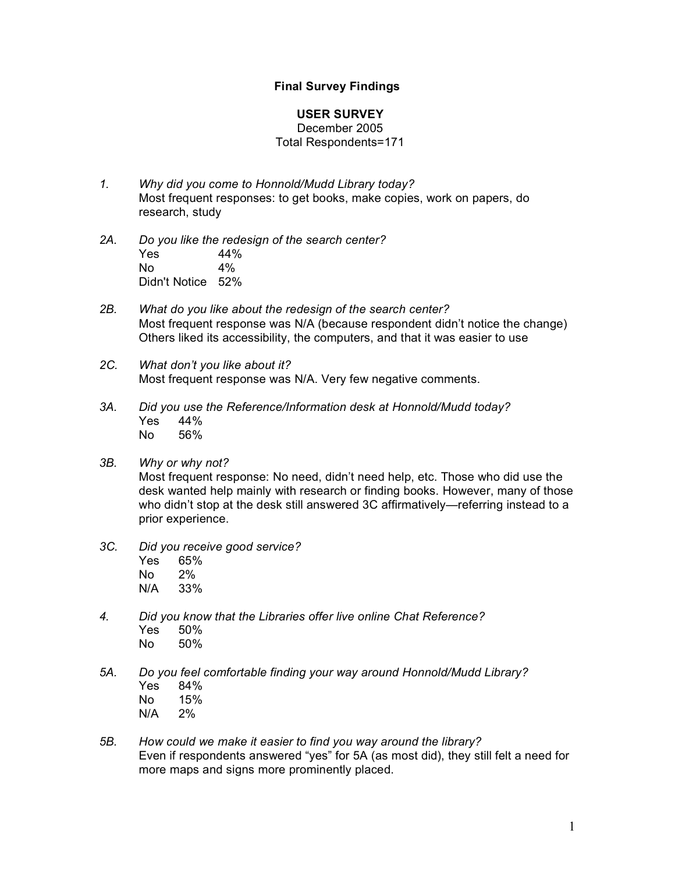## **Final Survey Findings**

### **USER SURVEY**

### December 2005 Total Respondents=171

- *1. Why did you come to Honnold/Mudd Library today?* Most frequent responses: to get books, make copies, work on papers, do research, study
- *2A. Do you like the redesign of the search center?*  $Yes$  44%<br>No 4% No Didn't Notice 52%
- *2B. What do you like about the redesign of the search center?* Most frequent response was N/A (because respondent didn't notice the change) Others liked its accessibility, the computers, and that it was easier to use
- *2C. What don't you like about it?* Most frequent response was N/A. Very few negative comments.
- *3A. Did you use the Reference/Information desk at Honnold/Mudd today?* Yes 44% No 56%
- *3B. Why or why not?*

Most frequent response: No need, didn't need help, etc. Those who did use the desk wanted help mainly with research or finding books. However, many of those who didn't stop at the desk still answered 3C affirmatively—referring instead to a prior experience.

- *3C. Did you receive good service?*
	- Yes 65% No 2% N/A 33%
- *4. Did you know that the Libraries offer live online Chat Reference?* Yes 50% No 50%
- *5A. Do you feel comfortable finding your way around Honnold/Mudd Library?* Yes 84% No 15%
	- N/A 2%
- *5B. How could we make it easier to find you way around the library?* Even if respondents answered "yes" for 5A (as most did), they still felt a need for more maps and signs more prominently placed.